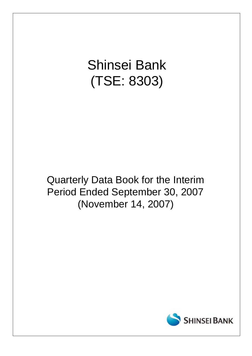# Shinsei Bank (TSE: 8303)

## Quarterly Data Book for the Interim Period Ended September 30, 2007 (November 14, 2007)

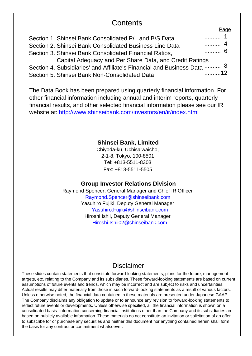## **Contents**

| Section 1. Shinsei Bank Consolidated P/L and B/S Data                   | 1   |  |
|-------------------------------------------------------------------------|-----|--|
| Section 2. Shinsei Bank Consolidated Business Line Data                 | . 4 |  |
| Section 3. Shinsei Bank Consolidated Financial Ratios,                  | . 6 |  |
| Capital Adequacy and Per Share Data, and Credit Ratings                 |     |  |
| Section 4. Subsidiaries' and Affiliate's Financial and Business Data  8 |     |  |
| Section 5. Shinsei Bank Non-Consolidated Data                           |     |  |

The Data Book has been prepared using quarterly financial information. For other financial information including annual and interim reports, quarterly financial results, and other selected financial information please see our IR website at: http://www.shinseibank.com/investors/en/ir/index.html

### **Shinsei Bank, Limited**

Chiyoda-ku, Uchisaiwaicho, 2-1-8, Tokyo, 100-8501 Tel: +813-5511-8303 Fax: +813-5511-5505

#### **Group Investor Relations Division**

Raymond Spencer, General Manager and Chief IR Officer Raymond.Spencer@shinseibank.com Yasuhiro Fujiki, Deputy General Manager Yasuhiro.Fujiki@shinseibank.com Hiroshi Ishii, Deputy General Manager Hiroshi.Ishii02@shinseibank.com

## Disclaimer

These slides contain statements that constitute forward-looking statements, plans for the future, management targets, etc. relating to the Company and its subsidiaries. These forward-looking statements are based on current assumptions of future events and trends, which may be incorrect and are subject to risks and uncertainties. Actual results may differ materially from those in such forward-looking statements as a result of various factors. Unless otherwise noted, the financial data contained in these materials are presented under Japanese GAAP. The Company disclaims any obligation to update or to announce any revision to forward-looking statements to reflect future events or developments. Unless otherwise specified, all the financial information is shown on a consolidated basis. Information concerning financial institutions other than the Company and its subsidiaries are based on publicly available information. These materials do not constitute an invitation or solicitation of an offer to subscribe for or purchase any securities and neither this document nor anything contained herein shall form the basis for any contract or commitment whatsoever.

**Done**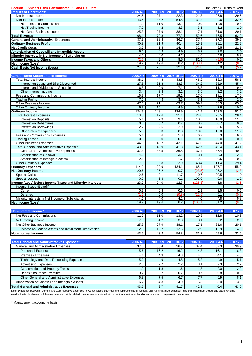| Section 1. Shinsei Bank Consolidated P/L and B/S Data |          |          |            |          | Unaudited (Billions of Yen) |          |
|-------------------------------------------------------|----------|----------|------------|----------|-----------------------------|----------|
| <b>Results of Operations*</b>                         | 2006.4-6 | 2006.7-9 | 2006.10-12 | 2007.1-3 | 2007.4-6                    | 2007.7-9 |
| Net Interest Income                                   | 24.5     | 27.1     | 22.3       | 21.3     | 26.8                        | 29.6     |
| Non-Interest Income                                   | 43.5     | 43.2     | 54.8       | 31.2     | 49.6                        | 32.5     |
| Net Fees and Commissions                              | 11.2     | 11.0     | 13.2       | 10.9     | 12.8                        | 10.3     |
| Net Trading Income                                    | 7.0      | 4.2      | 3.3        | 3.1      | 5.2                         | 2.0      |
| Net Other Business Income                             | 25.3     | 27.9     | 38.1       | 17.1     | 31.6                        | 20.1     |
| <b>Total Revenue</b>                                  | 68.1     | 70.3     | 77.2       | 52.6     | 76.5                        | 62.2     |
| <b>General and Administrative Expenses</b>            | 37.3     | 38.4     | 36.7       | 37.4     | 37.3                        | 39.9     |
| <b>Ordinary Business Profit</b>                       | 30.8     | 31.9     | 40.4       | 15.1     | 39.1                        | 22.2     |
| <b>Net Credit Costs</b>                               | 3.7      | 1.4      | 14.4       | 32.2     | 9.5                         | 21.1     |
| <b>Amortization of Goodwill and Intangible Assets</b> | 6.2      | 4.3      | 4.9        | 5.3      | 3.0                         | 3.0      |
| Minority Interests in Net Income of Subsidiaries      | 4.2      | 4.0      | 4.2        | 4.0      | 4.8                         | 5.8      |
| <b>Income Taxes and Others</b>                        | (2.5)    | 2.4      | 8.5        | 81.5     | (9.5)                       | 0.2      |
| Net Income (Loss)                                     | 19.2     | 19.6     | 8.2        | (108.1)  | 31.2                        | (8.0)    |
| <b>Cash Basis Net Income (Loss)</b>                   | 24.5     | 23.1     | 12.4       | (24.8)   | 33.9                        | (5.2)    |

| <b>Consolidated Statements of Income</b>                 | 2006.4-6         | 2006.7-9 | 2006.10-12 | 2007.1-3 | 2007.4-6 | 2007.7-9         |
|----------------------------------------------------------|------------------|----------|------------|----------|----------|------------------|
| <b>Total Interest Income</b>                             | 38.1             | 44.8     | 43.5       | 46.2     | 53.3     | 58.1             |
| Interest on Loans and Bills Discounted                   | 27.8             | 31.3     | 33.3       | 34.2     | 38.9     | 45.4             |
| Interest and Dividends on Securities                     | 6.8              | 9.9      | 7.1        | 8.3      | 11.1     | 9.4              |
| Other Interest Income                                    | $\overline{3.4}$ | 3.4      | 3.1        | 3.6      | 3.2      | $\overline{3.2}$ |
| Fees and Commissions Income                              | 16.3             | 17.7     | 19.1       | 17.6     | 18.1     | 17.0             |
| <b>Trading Profits</b>                                   | 7.0              | 4.3      | 3.5        | 3.1      | 5.2      | 2.0              |
| <b>Other Business Income</b>                             | 67.0             | 71.1     | 63.7       | 69.2     | 68.3     | 65.3             |
| Other Ordinary Income                                    | 6.3              | 10.1     | 4.9        | 5.5      | 7.9      | 10.0             |
| <b>Ordinary Income</b>                                   | 134.9            | 148.1    | 134.9      | 141.9    | 153.0    | 152.6            |
| <b>Total Interest Expenses</b>                           | 13.5             | 17.6     | 21.1       | 24.8     | 26.5     | 28.4             |
| <b>Interest on Deposits</b>                              | 5.4              | 7.9      | 9.1        | 10.5     | 10.0     | 11.0             |
| <b>Interest on Debentures</b>                            | 0.8              | 0.7      | 0.7        | 0.7      | 0.7      | 0.8              |
| Interest on Borrowings                                   | 2.2              | 2.5      | 2.9        | 3.4      | 3.6      | 5.3              |
| <b>Other Interest Expenses</b>                           | 5.0              | 6.3      | 8.3        | 10.0     | 12.0     | 11.2             |
| <b>Fees and Commissions Expenses</b>                     | 5.1              | 6.6      | 5.8        | 6.7      | 5.3      | 6.6              |
| <b>Trading Losses</b>                                    | 0.0              | 0.0      | 0.1        | 0.0      | 0.0      | 0.0              |
| <b>Other Business Expenses</b>                           | 44.6             | 48.7     | 42.1       | 47.5     | 44.0     | 47.2             |
| <b>Total General and Administrative Expenses</b>         | 43.5             | 42.9     | 41.8       | 42.7     | 40.4     | 43.1             |
| General and Administrative Expenses                      | 37.3             | 38.5     | 36.8       | 37.4     | 37.4     | 40.0             |
| <b>Amortization of Goodwill</b>                          | 4.0              | 2.1      | 3.1        | 3.1      | 2.3      | 2.3              |
| Amortization of Intangible Assets                        | 2.1              | 2.1      | 1.7        | 2.2      | 0.6      | 0.6              |
| <b>Other Ordinary Expenses</b>                           | 7.3              | 6.8      | 22.9       | 43.4     | 11.4     | 29.4             |
| <b>Ordinary Expenses</b>                                 | 114.2            | 122.9    | 134.1      | 165.4    | 127.7    | 155.0            |
| <b>Net Ordinary Income</b>                               | 20.6             | 25.2     | 0.7        | (23.5)   | 25.2     | (2.3)            |
| <b>Special Gains</b>                                     | 2.6              | 0.1      | 11.7       | 0.7      | 20.5     | 1.0              |
| <b>Special Losses</b>                                    | 0.0              | 1.3      | 0.1        | 102.6    | 0.0      | 1.2              |
| Income (Loss) before Income Taxes and Minority Interests | 23.2             | 24.0     | 12.3       | (125.3)  | 45.8     | (2.5)            |
| Income Taxes (Benefit):                                  |                  |          |            |          |          |                  |
| Current                                                  | 0.9              | 0.4      | 0.6        | 1.1      | 3.5      | 0.5              |
| <b>Deferred</b>                                          | (1.1)            | 0.0      | (0.8)      | (22.5)   | 6.1      | (0.8)            |
| Minority Interests in Net Income of Subsidiaries         | 4.2              | 4.0      | 4.2        | 4.0      | 4.8      | 5.8              |
| Net Income (Loss)                                        | 19.2             | 19.6     | 8.2        | (108.1)  | 31.2     | (8.0)            |

| Non-Interest Income*                                | 2006.4-6 |      | 2006.7-9 2006.10-12 | 2007.1-3 | $2007.4 - 6$ | 2007.7-9 |
|-----------------------------------------------------|----------|------|---------------------|----------|--------------|----------|
| Net Fees and Commissions                            | 11.2     | 11.0 | 13.2                | 10.9     | 12.8         | 10.3     |
| Net Trading Income                                  | 7.0      | 4.2  | 3.3                 | 3.1      | 5.2          | 2.0      |
| Net Other Business Income                           | 25.3     | 27.9 | 38.1                | 17.1     | 31.6         | 20.7     |
| Income on Leased Assets and Installment Receivables | 12.8     | 12.7 | 12.6                | 12.9     | 12.9         | 14.3     |
| Non-Interest Income                                 | 43.5     | 43.2 | 54.8                | 31.2     | 49.6         | 32.5     |

| Total General and Administrative Expenses*       | 2006.4-6 |      | 2006.7-9 2006.10-12 | 2007.1-3        | 2007.4-6 | 2007.7-9 |
|--------------------------------------------------|----------|------|---------------------|-----------------|----------|----------|
| General and Administrative Expenses              | 37.3     | 38.4 | 36.7                | 37.4            | 37.3     | 39.9     |
| <b>Personnel Expenses</b>                        | 15.6     | 16.2 | 16.2                | 14.3            | 16.1     | 16.3     |
| <b>Premises Expenses</b>                         | 4.1      | 4.3  | 4.3                 | 4.5             | 4.1      | 4.5      |
| Technology and Data Processing Expenses          | 5.0      | 4.9  | 4.8                 | 5.2             | 4.9      | 5.1      |
| <b>Advertising Expenses</b>                      | 2.8      | 2.7  | 2.2                 | 3.1             | 2.3      | 2.7      |
| <b>Consumption and Property Taxes</b>            | 1.9      | 1.8  | 1.6                 | .8 <sub>1</sub> | 2.0      | 2.2      |
| Deposit Insurance Premium                        | 0.7      | 0.7  | 0.7                 | 0.7             | 0.8      | 0.8      |
| Other General and Administrative Expenses        | 6.8      | 7.5  | 6.7                 | 7.7             | 6.9      | 8.1      |
| Amortization of Goodwill and Intangible Assets   | 6.2      | 4.3  | 4.9                 | 5.3             | 3.0      | 3.0      |
| <b>Total General and Administrative Expenses</b> | 43.5     | 42.7 | 41.7                | 42.8            | 40.4     | 43.0     |

Note: Difference between "General and Administrative Expenses" in Consolidated Statements of Operations and "General and Administrative Expenses" under management accounting basis, which is<br>used in the table above and foll

\* Management accounting basis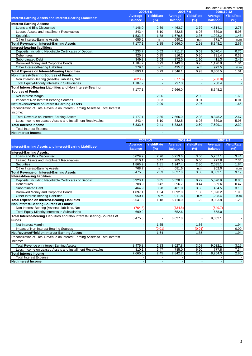|                                                                              |                |                   |                |                   |                | Unaudited (Billions of Yen) |
|------------------------------------------------------------------------------|----------------|-------------------|----------------|-------------------|----------------|-----------------------------|
|                                                                              |                | 2006.4-6          |                | 2006.7-9          |                | 2006.10-12                  |
| Interest-Earning Assets and Interest-Bearing Liabilities*                    | <b>Average</b> | <b>Yield/Rate</b> | Average        | <b>Yield/Rate</b> | Average        | <b>Yield/Rate</b>           |
|                                                                              | <b>Balance</b> | (%)               | <b>Balance</b> | (%)               | <b>Balance</b> | (%)                         |
| <b>Interest-Earning Assets:</b>                                              |                |                   |                |                   |                |                             |
| Loans and Bills Discounted                                                   | 4,146.0        | 2.69              | 4,463.7        | 2.79              | 4,814.1        | 2.75                        |
| Leased Assets and Installment Receivables                                    | 843.4          | 6.10              | 832.5          | 6.08              | 839.0          | 5.96                        |
| <b>Securities</b>                                                            | 1,532.3        | 1.78              | 1,679.5        | 2.36              | 1,923.2        | 1.48                        |
| Other Interest-Earning Assets                                                | 655.2          | n.m               | 690.2          | n.m               | 771.7          | n.m.                        |
| <b>Total Revenue on Interest-Earning Assets</b>                              | 7.177.1        | 2.85              | 7.666.0        | 2.98              | 8.348.2        | 2.67                        |
| Interest-bearing liabilities:                                                |                |                   |                |                   |                |                             |
| Deposits, Including Negotiable Certificates of Deposit                       | 4,233.7        | 0.52              | 4,711.7        | 0.69              | 5,070.4        | 0.75                        |
| <b>Debentures</b>                                                            | 925.8          | 0.35              | 816.2          | 0.36              | 731.4          | 0.39                        |
| <b>Subordinated Debt</b>                                                     | 349.3          | 2.08              | 372.5          | 1.90              | 411.3          | 2.42                        |
| Borrowed Money and Corporate Bonds                                           | 1.104.7        | 0.93              | 1.149.8        | 0.95              | 1.120.8        | 1.04                        |
| Other Interest-Bearing Liabilities                                           | 279.4          | n.m               | 495.7          | n.m               | 972.5          | n.m.                        |
| <b>Total Expense on Interest-Bearing Liabilities</b>                         | 6.893.1        | 0.79              | 7,546.1        | 0.93              | 8.306.5        | 1.01                        |
| Non Interest-Bearing Sources of Funds:                                       |                |                   |                |                   |                |                             |
| Non Interest-Bearing (Assets) Liabilities, Net                               | (823.9)        |                   | (677.3)        |                   | (708.8)        |                             |
| <b>Total Equity-Minority Interests in Subsidiaries</b>                       | 1,107.9        |                   | 797.3          |                   | 750.4          |                             |
| Total Interest-Bearing Liabilities and Non Interest-Bearing                  |                |                   |                |                   |                |                             |
| <b>Sources of Funds</b>                                                      | 7,177.1        |                   | 7,666.0        |                   | 8,348.2        |                             |
| Net Interest Margin                                                          |                | 2.06              |                | 2.05              |                | 1.66                        |
| Impact of Non Interest-Bearing Sources                                       |                | 0.03              |                | 0.01              |                | 0.01                        |
| Net Revenue/Yield on Interest-Earning Assets                                 |                | 2.09              |                | 2.07              |                | 1.66                        |
| Reconciliation of Total Revenue on Interest-Earning Assets to Total Interest |                |                   |                |                   |                |                             |
| Income:                                                                      |                |                   |                |                   |                |                             |
| <b>Total Revenue on Interest-Earning Assets</b>                              | 7,177.1        | 2.85              | 7,666.0        | 2.98              | 8,348.2        | 2.67                        |
| Less: Income on Leased Assets and Installment Receivables                    | 843.4          | 6.10              | 832.5          | 6.08              | 839.0          | 5.96                        |
| <b>Total Interest Income</b>                                                 | 6,333.6        | 2.41              | 6,833.5        | 2.60              | 7,509.1        | 2.30                        |
| <b>Total Interest Expense</b>                                                |                |                   |                |                   |                |                             |
| Net Interest Income                                                          |                |                   |                |                   |                |                             |

|                                                                              | 2007.1-3       |                   |                | 2007.4-6          |                | 2007.7-9          |
|------------------------------------------------------------------------------|----------------|-------------------|----------------|-------------------|----------------|-------------------|
|                                                                              | <b>Average</b> | <b>Yield/Rate</b> | Average        | <b>Yield/Rate</b> | <b>Average</b> | <b>Yield/Rate</b> |
| Interest-Earning Assets and Interest-Bearing Liabilities*                    | <b>Balance</b> | (%)               | <b>Balance</b> | (%)               | <b>Balance</b> | (%)               |
| <b>Interest-Earning Assets:</b>                                              |                |                   |                |                   |                |                   |
| Loans and Bills Discounted                                                   | 5,029.9        | 2.76              | 5,213.6        | 3.00              | 5,257.1        | 3.44              |
| Leased Assets and Installment Receivables                                    | 810.1          | 6.47              | 785.0          | 6.60              | 777.8          | 7.34              |
| <b>Securities</b>                                                            | 1.866.9        | 1.81              | 1,947.4        | 2.30              | 2,035.1        | 1.84              |
| Other Interest-Earning Assets                                                | 768.7          | n.m.              | 681.6          | n.m               | 962.0          | n.m.              |
| <b>Total Revenue on Interest-Earning Assets</b>                              | 8,475.8        | 2.83              | 8,627.8        | 3.08              | 9,032.1        | 3.19              |
| Interest-bearing liabilities:                                                |                |                   |                |                   |                |                   |
| Deposits, Including Negotiable Certificates of Deposit                       | 5,320.1        | 0.85              | 5,528.4        | 0.79              | 5,570.9        | 0.86              |
| <b>Debentures</b>                                                            | 708.9          | 0.42              | 696.7          | 0.44              | 689.6          | 0.47              |
| <b>Subordinated Debt</b>                                                     | 464.9          | 3.28              | 481.0          | 3.53              | 464.5          | 3.15              |
| Borrowed Money and Corporate Bonds                                           | 1,097.1        | 1.34              | 1,092.0        | 1.30              | 1,090.2        | 1.96              |
| Other Interest-Bearing Liabilities                                           | 950.1          | n.m.              | 911.8          | n.m               | 1.208.4        | n.m.              |
| <b>Total Expense on Interest-Bearing Liabilities</b>                         | 8,541.3        | 1.18              | 8,710.0        | 1.22              | 9,023.8        | 1.25              |
| Non Interest-Bearing Sources of Funds:                                       |                |                   |                |                   |                |                   |
| Non Interest-Bearing (Assets) Liabilities, Net                               | (764.8)        |                   | (734.8)        |                   | (649.7)        |                   |
| <b>Total Equity-Minority Interests in Subsidiaries</b>                       | 699.2          |                   | 652.6          |                   | 658.0          |                   |
| Total Interest-Bearing Liabilities and Non Interest-Bearing Sources of       |                |                   |                |                   |                |                   |
| <b>Funds</b>                                                                 | 8,475.8        |                   | 8,627.8        |                   | 9,032.1        |                   |
| Net Interest Margin                                                          |                | 1.65              |                | 1.86              |                | 1.94              |
| Impact of Non Interest-Bearing Sources                                       |                | (0.01)            |                | (0.01)            |                | 0.00              |
| Net Revenue/Yield on Interest-Earning Assets                                 |                | 1.64              |                | 1.85              |                | 1.94              |
| Reconciliation of Total Revenue on Interest-Earning Assets to Total Interest |                |                   |                |                   |                |                   |
| Income:                                                                      |                |                   |                |                   |                |                   |
| Total Revenue on Interest-Earning Assets                                     | 8,475.8        | 2.83              | 8,627.8        | 3.08              | 9,032.1        | 3.19              |
| Less: Income on Leased Assets and Installment Receivables                    | 810.1          | 6.47              | 785.0          | 6.60              | 777.8          | 7.34              |
| <b>Total Interest Income</b>                                                 | 7,665.6        | 2.45              | 7,842.7        | 2.73              | 8,254.3        | 2.80              |
| <b>Total Interest Expense</b>                                                |                |                   |                |                   |                |                   |
| <b>Net Interest Income</b>                                                   |                |                   |                |                   |                |                   |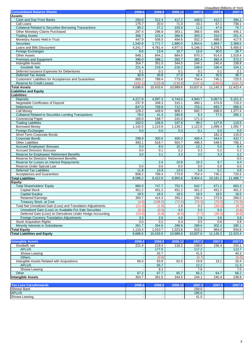|                                                                |                          |                          |                          |                |                          | Unaudited (Billions of Yen) |
|----------------------------------------------------------------|--------------------------|--------------------------|--------------------------|----------------|--------------------------|-----------------------------|
| <b>Consolidated Balance Sheets</b>                             | 2006.6                   | 2006.9                   | 2006.12                  | 2007.3         | 2007.6                   | 2007.9                      |
| Assets:                                                        |                          |                          |                          |                |                          |                             |
| Cash and Due From Banks                                        | 250.0                    | 312.4                    | 417.2                    | 448.5          | 412.2                    | 394.1                       |
| Call Loans                                                     | 175.7                    | 20.0                     | 71.0                     | 43.1           | 67.1                     | 736.1                       |
| <b>Collateral Related to Securities Borrowing Transactions</b> | 80.2                     | 27.2                     | 103.9                    | 11.0           | 47.6                     | 74.7                        |
| Other Monetary Claims Purchased                                | 287.4                    | 296.9                    | 383.1                    | 366.5          | 469.7                    | 445.1                       |
| <b>Trading Assets</b>                                          | 366.7                    | 423.4                    | 368.8                    | 303.3          | 310.0                    | 251.4                       |
| Monetary Assets Held in Trust                                  | 447.9                    | 506.5                    | 494.6                    | 502.3          | 488.0                    | 417.6                       |
| <b>Securities</b>                                              | 1,540.9                  | 1,771.7                  | 1,880.0                  | 1,854.6        | 1,869.7                  | 2,368.5                     |
| Loans and Bills Discounted<br><b>Foreign Exchanges</b>         | 4,241.7<br>9.6           | 4,781.4<br>13.9          | 4,977.0<br>10.7          | 5,146.3        | 5,278.5                  | 5,456.5                     |
|                                                                |                          | 844.1                    |                          | 15.0           | 30.5                     | 26.7                        |
| <b>Other Assets</b><br>Premises and Equipment                  | 848.1<br>396.0           | 398.1                    | 884.0<br>392.7           | 870.3<br>382.4 | 914.0<br>382.4           | 1,018.4<br>372.2            |
| Intangible Assets                                              | 354.7                    | 351.0                    | 344.0                    | 244.1          | 240.4                    | 238.8                       |
| Goodwill, Net                                                  | 221.4                    | 219.4                    | 216.2                    | 158.0          | 156.4                    | 154.1                       |
| Deferred Issuance Expenses for Debentures                      | 0.1                      | 0.1                      | 0.1                      | 0.1            | 0.1                      | 0.1                         |
| <b>Deferred Tax Assets</b>                                     | 30.9                     | 30.8                     | 27.9                     | 42.4           | 35.5                     | 38.7                        |
| Customers' Liabilities for Acceptances and Guarantees          | 808.2                    | 789.4                    | 773.8                    | 754.4          | 745.1                    | 725.5                       |
| <b>Reserve for Credit Losses</b>                               | (142.1)                  | (133.8)                  | (139.8)                  | (147.2)        | (146.0)                  | (141.7)                     |
| <b>Total Assets</b>                                            | 9,696.6                  | 10,433.6                 | 10,989.6                 | 10,837.6       | 11,145.3                 | 12,423.4                    |
| <b>Liabilities and Equity</b>                                  |                          |                          |                          |                |                          |                             |
| Liabilities:                                                   |                          |                          |                          |                |                          |                             |
| <b>Deposits</b>                                                | 4,217.9                  | 4,597.3                  | 4,744.0                  | 4,940.7        | 5,067.0                  | 5,151.3                     |
| Negotiable Certificates of Deposit                             | 237.9                    | 348.3                    | 315.1                    | 480.1          | 474.9                    | 719.3                       |
| <b>Debentures</b>                                              | 847.0                    | 758.8                    | 712.5                    | 703.2          | 693.7                    | 686.5                       |
| <b>Call Money</b>                                              | 129.2                    | 449.9                    | 808.1                    | 692.7          | 698.0                    | 1,377.4                     |
| Collateral Related to Securities Lending Transactions          | 76.0                     | 41.4                     | 180.8                    | 8.3            | 77.5                     | 285.1                       |
| <b>Commercial Paper</b>                                        | 165.0                    | 168.7                    | 241.0                    | 171.3          |                          |                             |
| <b>Trading Liabilities</b>                                     | 150.5                    | 106.6                    | 107.8                    | 99.2           | 127.8                    | 110.5                       |
| <b>Borrowed Money</b>                                          | 1,142.0                  | 1,213.9                  | 1,139.2                  | 1,122.6        | 1,099.4                  | 1,092.7                     |
| <b>Foreign Exchanges</b>                                       | 0.0                      | 0.0                      | 0.3                      | 0.1            | 0.0                      | 0.0                         |
| Short-Term Corporate Bonds                                     |                          |                          |                          |                | 181.3                    | 115.0                       |
| <b>Corporate Bonds</b>                                         | 298.9                    | 300.6                    | 400.0                    | 400.4          | 444.0                    | 432.7                       |
| <b>Other Liabilities</b>                                       | 493.1                    | 619.7                    | 504.7                    | 498.3          | 548.5                    | 766.1                       |
| <b>Accrued Employees' Bonuses</b>                              | 5.0                      | 8.0                      | 10.3                     | 13.1           | 5.0                      | 8.4                         |
| <b>Accrued Directors' Bonuses</b>                              | 0.0                      | 0.1                      | 0.2                      | 0.3            | 0.2                      | 0.2                         |
| Reserve for Employees' Retirement Benefits                     | 3.0                      | 3.1                      | 3.3                      | 3.5            | 3.3                      | 3.2                         |
| Reserve for Directors' Retirement Benefits                     | $\overline{\phantom{a}}$ |                          |                          |                |                          | 0.0                         |
| Reserve for Losses on Interest Repayments                      |                          | 2.4                      | 10.8                     | 10.3           | 9.7                      | 9.4                         |
| Reserve Under Special Law                                      | 0.0                      | 0.0                      | 0.0                      | 0.0            | 0.0                      | 0.0                         |
| <b>Deferred Tax Liabilities</b>                                | 11.8                     | 13.9                     | $\overline{13.0}$        | 5.0            | 5.1                      | 4.6                         |
| <b>Acceptances and Guarantees</b>                              | 808.2                    | 789.4                    | 773.8                    | 754.4          | 745.1                    | 725.5                       |
| <b>Total Liabilities</b>                                       | 8,586.2                  | 9,422.9                  | 9,965.8                  | 9,904.4        | 10,181.2                 | 11,488.7                    |
| Equity:                                                        |                          |                          |                          |                |                          |                             |
| <b>Total Shareholders' Equity</b>                              | 860.0                    | 747.7                    | 752.5                    | 642.7          | 671.2                    | 663.3                       |
| <b>Capital Stock</b>                                           | 451.2                    | 451.2                    | 451.2                    | 451.2          | 451.2                    | 451.2                       |
| <b>Capital Surplus</b>                                         | 18.5                     | 18.5                     | 18.5                     | 18.5           | 18.5                     | $18.5$                      |
| <b>Retained Earnings</b>                                       | 394.7                    | 414.3                    | 355.2                    | 245.4          | 273.9                    | 266.0                       |
| <b>Treasury Stock, at Cost</b>                                 | (4.5)                    | (136.5)                  | (72.5)                   | (72.5)         | (72.5)                   | (72.5)                      |
| Total Net Unrealized Gain (Loss) and Translation Adjustments   | (11.4)                   | (1.8)                    | 1.8                      | 0.2            | (10.3)                   | (9.7)                       |
| Unrealized Gain (Loss) on Available-For-Sale Securities        | (0.2)                    | (0.5)                    | 4.5                      | 5.0            | 6.0                      | (3.8)                       |
| Deferred Gain (Loss) on Derivatives Under Hedge Accounting     | (14.5)                   | (3.9)                    | (6.6)                    | (7.7)          | (20.3)                   | (9.5)                       |
| <b>Foreign Currency Translation Adjustments</b>                | 3.3                      | 2.6                      | 4.0                      | 2.9            | 3.8                      | 3.6                         |
| <b>Stock Acquisition Rights</b>                                | 0.0                      | 0.2                      | 0.4                      | 0.5            | 0.6                      | 0.8                         |
| Minority Interests in Subsidiaries                             | 261.7                    | 264.6                    | 268.9                    | 289.6          | 302.4                    | 280.1                       |
| <b>Total Equity</b>                                            | 1,110.4                  | 1,010.7                  | 1,023.8                  | 933.2          | 964.0                    | 934.6                       |
| <b>Total Liabilities and Equity</b>                            | 9,696.6                  | 10,433.6                 | 10,989.6                 | 10,837.6       | 11,145.3                 | 12,423.4                    |
|                                                                |                          |                          |                          |                |                          |                             |
| <b>Intangible Assets</b>                                       | 2006.6                   | 2006.9                   | 2006.12                  | 2007.3         | 2007.6                   | 2007.9                      |
| Goodwill, net                                                  | 221.4                    | 219.4                    | 216.2                    | 158.0          | 156.4                    | 154.1                       |
| <b>APLUS</b>                                                   |                          | 177.5                    |                          | 117.2          |                          | 113.7                       |
| Showa Leasing                                                  |                          | 42.7                     |                          | 41.5           |                          | 40.3                        |
| <b>Others</b>                                                  |                          | (0.8)                    |                          | (0.7)          |                          | (0.0)                       |
| Intangible Assets Related with Acquisitions                    | 66.0                     | 63.8                     | 62.0                     | 19.8           | 19.1                     | 18.4                        |
| <b>APLUS</b>                                                   |                          | 55.7                     |                          | 12.2           |                          | 11.3                        |
| Showa Leasing                                                  |                          | 8.1                      | $\overline{\phantom{a}}$ | 7.6            |                          | 7.0                         |
| Other                                                          | 67.2                     | 67.7                     | 65.7                     | 66.2           | 64.7                     | 66.2                        |
| <b>Intangible Assets</b>                                       | 354.7                    | 351.0                    | 344.0                    | 244.1          | 240.4                    | 238.8                       |
|                                                                |                          |                          |                          |                |                          |                             |
| <b>Tax Loss Carryforwards</b>                                  | 2006.6                   | 2006.9                   | 2006.12                  | 2007.3         | 2007.6                   | 2007.9                      |
| Shinsei Bank                                                   |                          |                          |                          | 150.0          |                          |                             |
| <b>APLUS</b>                                                   |                          |                          |                          | 195.6          |                          | $\omega$                    |
| Showa Leasing                                                  | $\overline{\phantom{a}}$ | $\overline{\phantom{a}}$ |                          | 41.0           | $\overline{\phantom{a}}$ | $\blacksquare$              |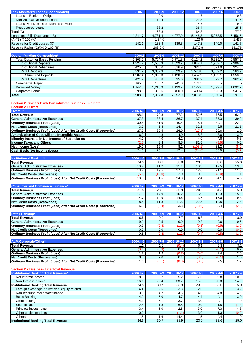|                                                                     |                          |             |              |                  |             | Unaudited (Billions of Yen) |
|---------------------------------------------------------------------|--------------------------|-------------|--------------|------------------|-------------|-----------------------------|
| <b>Risk Monitored Loans (Consolidated)</b>                          | 2006.6                   | 2006.9      | 2006.12      | 2007.3           | 2007.6      | 2007.9                      |
| Loans to Bankrupt Obligors                                          |                          | 2.0         |              | 1.7              |             | 0.8                         |
| Non-Accrual Deliquent Loans                                         | $\overline{\phantom{a}}$ | 19.4        | ÷,           | 21.8             |             | 41.6                        |
| Loans Past Due Three Months or More                                 |                          | 4.1         |              | 4.7              |             | 9.9                         |
| <b>Restructured Loans</b>                                           |                          | 38.2        |              | 36.4             |             | 25.5                        |
| Total (A)                                                           |                          | 63.8        |              | 64.8             |             | 77.9                        |
| Loans and Bills Discounted (B)                                      | 4,241.7                  | 4,781.4     | 4,977.0      | 5,146.3          | 5,278.5     | 5,456.5                     |
| $(A)/(B)$ X 100 (%)                                                 |                          | 1.34%       |              | 1.26%            |             | 1.43%                       |
| Reserve for Credit Losses (C)                                       | 142.1                    | 133.8       | 139.8        | 147.2            | 146.0       | 141.7                       |
| Reserve Ratios (C)/(A) X 100 (%)                                    |                          | 208.6%      |              | 227.2%           |             | 181.7%                      |
|                                                                     |                          |             |              |                  |             |                             |
| <b>Overall Funding Composition*</b>                                 | 2006.6                   | 2006.9      | 2006.12      | 2007.3           | 2007.6      | 2007.9                      |
| <b>Total Customer Based Funding</b>                                 | 5,303.0                  | 5,704.6     | 5,771.8      | 6,124.2          | 6,235.7     | 6,557.2                     |
| <b>Institutional Deposits</b>                                       | 1,224.7                  | 1,558.3     | 1,529.2      | 1,847.1          | 1,982.7     | 2,306.6                     |
| <b>Institutional Debentures</b>                                     | 425.8                    | 353.0       | 316.9        | 321.3            | 321.0       | 324.3                       |
| <b>Retail Deposits</b>                                              | 3,231.2                  | 3,387.3     | 3,529.9      | 3,573.8          | 3,559.2     | 3,563.9                     |
| <b>Structured Deposits</b>                                          | 1,287.4                  | 1,383.3     | 1,420.3      | 1,457.9          | 1,499.1     | 1,558.5                     |
| <b>Retail Debentures</b>                                            | 421.2                    | 405.8       | 395.6        | 381.9            | 372.7       | 362.2                       |
| <b>Commercial Paper</b>                                             | 165.0                    | 168.7       | 241.0        | 171.3            |             |                             |
| <b>Borrowed Money</b>                                               | 1,142.0                  | 1,213.9     | 1,139.2      | 1,122.6          | 1,099.4     | 1,092.7                     |
| Corporate Bonds                                                     | 298.9                    | 300.6       | 400.0        | 400.4            | 625.3       | 547.7                       |
| <b>Total</b>                                                        | 6,908.9                  | 7,387.8     | 7,552.0      | 7,818.5          | 7,960.4     | 8,197.6                     |
|                                                                     |                          |             |              |                  |             |                             |
| <b>Section 2. Shinsei Bank Consolidated Business Line Data</b>      |                          |             |              |                  |             |                             |
|                                                                     |                          |             |              |                  |             |                             |
| <b>Section 2.1 Overall</b>                                          |                          |             |              |                  |             |                             |
| Overall*                                                            | 2006.4-6                 | 2006.7-9    | 2006.10-12   | 2007.1-3         | 2007.4-6    | 2007.7-9                    |
| <b>Total Revenue</b>                                                | 68.1                     | 70.3        | 77.2         | 52.6             | 76.5        | 62.2                        |
| <b>General Administrative Expenses</b>                              | 37.3                     | 38.4        | 36.7         | 37.4             | 37.3        | 39.9                        |
| <b>Ordinary Business Profit (Loss)</b>                              | 30.8                     | 31.9        | 40.4         | 15.1             | 39.1        | 22.2                        |
| <b>Net Credit Costs (Recoveries)</b>                                | 3.7                      | 1.4         | 14.4         | 32.2             | 9.5         | 21.1                        |
| Ordinary Business Profit (Loss) After Net Credit Costs (Recoveries) | 27.0                     | 30.5        | 26.0         | (17.1)           | 29.6        | 1.0                         |
| Amortization of Goodwill and Intangible Assets                      | 6.2                      | 4.3         | 4.9          | 5.3              | 3.0         | 3.0                         |
| Minority Interests in Net Income of Subsidiaries                    | 4.2                      | 4.0         | 4.2          | 4.0              | 4.8         | 5.8                         |
| <b>Income Taxes and Others</b>                                      | (2.5)                    | 2.4         | 8.5          | 81.5             | (9.5)       | 0.2                         |
| <b>Net Income (Loss)</b>                                            | 19.2                     | 19.6        | 8.2          | (108.1)          | 31.2        | (8.0)                       |
| <b>Cash Basis Net Income (Loss)</b>                                 | 24.5                     | 23.1        | 12.4         | (24.8)           | 33.9        | (5.2)                       |
|                                                                     |                          |             |              |                  |             |                             |
| <b>Institutional Banking*</b>                                       | 2006.4-6                 | 2006.7-9    | 2006.10-12   | 2007.1-3         | 2007.4-6    | 2007.7-9                    |
| <b>Total Revenue</b>                                                | 24.5                     | 30.7        | 38.9         | 23.0             | 33.6        | 25.0                        |
| <b>General Administrative Expenses</b>                              | 10.7                     | 11.2        | 11.1         | 10.3             | 12.5        | 13.3                        |
| <b>Ordinary Business Profit (Loss)</b>                              | 13.7                     | 19.5        | 27.8         | 12.6             | 21.1        | 11.6                        |
| <b>Net Credit Costs (Recoveries)</b>                                | (5.1)                    | (12.0)      | 2.9          | 10.2             | (3.0)       | 7.1                         |
| Ordinary Business Profit (Loss) After Net Credit Costs (Recoveries) | 18.9                     | 31.5        | 24.8         | 2.4              | 24.1        | 4.5                         |
|                                                                     |                          |             |              |                  |             |                             |
| <b>Consumer and Commercial Finance*</b>                             | 2006.4-6                 | 2006.7-9    | 2006.10-12   | 2007.1-3         | 2007.4-6    | 2007.7-9                    |
| <b>Total Revenue</b>                                                | 31.8                     | 28.8        | 30.9         | 20.6             | 31.3        | 25.0                        |
| <b>General Administrative Expenses</b>                              | 17.0                     | 17.9        | 16.2         | 16.9             | 15.3        | 15.6                        |
| <b>Ordinary Business Profit (Loss)</b>                              | 14.7                     | 10.9        | 14.6         | 3.6              | 16.0        | 9.3                         |
| <b>Net Credit Costs (Recoveries)</b>                                | 8.8                      | 11.3        | 11.3         | 22.3             | 12.5        | 12.3                        |
| Ordinary Business Profit (Loss) After Net Credit Costs (Recoveries) | 5.9                      | (0.4)       | 3.3          | (18.6)           | 3.4         | (2.9)                       |
|                                                                     |                          |             |              |                  |             |                             |
| <b>Retail Banking*</b>                                              | 2006.4-6                 | 2006.7-9    | 2006.10-12   | 2007.1-3         | 2007.4-6    | 2007.7-9                    |
| <b>Total Revenue</b>                                                | 10.5                     | 9.0         | 7.7          | 8.8              | 9.1         | 8.9                         |
| <b>General Administrative Expenses</b>                              | 9.9                      | 9.5         | 9.0          | 9.2              | 9.6         | 10.6                        |
| <b>Ordinary Business Profit (Loss)</b>                              | 0.5                      | (0.4)       | (1.2)        | (0.3)            | (0.5)       | (1.6)                       |
| <b>Net Credit Costs (Recoveries)</b>                                | 0.0                      | 0.0         | 0.0          | 0.0              | 0.0         | (0.0)                       |
| Ordinary Business Profit (Loss) After Net Credit Costs (Recoveries) | 0.5                      | (0.4)       | (1.2)        | (0.4)            | (0.5)       | (1.7)                       |
|                                                                     |                          |             |              |                  |             |                             |
| ALM/Corporate/Other*                                                | 2006.4-6                 | 2006.7-9    | 2006.10-12   | 2007.1-3         | 2007.4-6    | 2007.7-9                    |
| <b>Total Revenue</b>                                                | 1.2                      | 1.6         | (0.4)        | 0.1              | 2.3         | 3.1                         |
| <b>General Administrative Expenses</b>                              | (0.4)                    | (0.3)       | 0.3          | 1.0              | (0.1)       | 0.2                         |
| <b>Ordinary Business Profit (Loss)</b>                              | 1.7                      | 1.9         | (0.7)        | (0.8)            | 2.4         | 2.8                         |
| <b>Net Credit Costs (Recoveries)</b>                                | 0.0                      | 2.0         | 0.1          | (0.3)            | (0.1)       | 1.6                         |
| Ordinary Business Profit (Loss) After Net Credit Costs (Recoveries) | 1.6                      | (0.1)       | (0.8)        | (0.5)            | $2.5\,$     | 1.2                         |
|                                                                     |                          |             |              |                  |             |                             |
| <b>Section 2.2 Business Line Total Revenue</b>                      |                          |             |              |                  |             |                             |
| <b>Institutional Banking Total Revenue*</b>                         | 2006.4-6                 | 2006.7-9    | 2006.10-12   | 2007.1-3         | 2007.4-6    | 2007.7-9                    |
| Net Interest Income                                                 | 8.3                      | 8.2         | 5.2          | 7.5              | 9.8         | 10.0                        |
| Non-Interest Income                                                 | 16.1                     | 22.4        | 33.7         | 15.5             | 23.8        | 14.9                        |
| <b>Institutional Banking Total Revenue</b>                          | 24.5                     | 30.7        | 38.9         | 23.0             | 33.6        | 25.0                        |
|                                                                     |                          |             | 3.3          | 2.5              | 5.1         | 3.2                         |
| Foreign exchange, derivatives, equity-related                       | 4.4                      | 2.5         |              |                  |             |                             |
| Non-recourse real estate finance                                    | 3.9                      | 4.7         | 4.6          | 4.5              | 4.8         | 4.6                         |
| <b>Basic Banking</b>                                                | 4.2                      | 5.0         | 4.7          | 4.4              | 4.1         | 3.9                         |
| Credit trading                                                      | 4.1                      | 6.1         | 3.7          | 3.0              | 4.7         | 7.9                         |
| Securitization                                                      | 2.4                      | 1.3         | 6.5          | 0.9              | 1.5         | (1.4)                       |
| Principal investments                                               | 3.4                      | 5.0         | 2.5          | 3.0              | 7.3         | 4.8                         |
|                                                                     |                          |             |              |                  |             |                             |
| Other capital markets                                               | 0.2                      | 4.1         | (1.1)        | $\overline{3.0}$ | 1.3         | (0.2)                       |
| <b>Others</b><br><b>Institutional Banking Total Revenue</b>         | 1.5<br>24.5              | 1.6<br>30.7 | 14.4<br>38.9 | 1.5<br>23.0      | 4.4<br>33.6 | 1.9<br>25.0                 |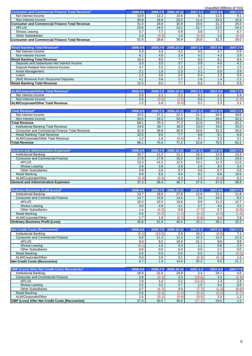|                                                                        |                         |               |                         |                  | Unaudited (Billions of Yen) |                                                                                                       |
|------------------------------------------------------------------------|-------------------------|---------------|-------------------------|------------------|-----------------------------|-------------------------------------------------------------------------------------------------------|
| <b>Consumer and Commercial Finance Total Revenue*</b>                  | 2006.4-6                |               | 2006.7-9 2006.10-12     | 2007.1-3         | 2007.4-6                    | 2007.7-9                                                                                              |
| Net Interest Income                                                    | 10.9                    | 12.2          | 10.6                    | 9.1              | 11.0                        | 9.1                                                                                                   |
| Non-Interest Income                                                    | 20.8                    | 16.6          | 20.2                    | 11.4             | 20.3                        | 15.9                                                                                                  |
| <b>Consumer and Commercial Finance Total Revenue</b>                   | 31.8                    | 28.8          | 30.9                    | 20.6             | 31.3                        | 25.0                                                                                                  |
| <b>APLUS</b>                                                           | 23.6                    | 24.5          | 23.2                    | 21.7             | 22.5                        | 24.3                                                                                                  |
| Showa Leasing                                                          | 5.7                     | 7.7           | 5.9                     | 5.6              | 7.2                         | 6.7                                                                                                   |
| <b>Other Subsidiaries</b>                                              | 2.4<br>31.8             | (3.3)         | 1.6<br>30.9             | (6.8)            | 1.5<br>31.3                 | (6.0)<br>25.0                                                                                         |
| <b>Consumer and Commercial Finance Total Revenue</b>                   |                         | 28.8          |                         | 20.6             |                             |                                                                                                       |
| <b>Retail Banking Total Revenue*</b>                                   | 2006.4-6                | 2006.7-9      | 2006.10-12              | 2007.1-3         | 2007.4-6                    | 2007.7-9                                                                                              |
| Net Interest Income                                                    | 4.3                     | 4.4           | 4.2                     | 4.5              | 4.7                         | 5.0                                                                                                   |
| Non-Interest Income                                                    | 6.1                     | 4.6           | 3.4                     | 4.2              | 4.3                         | 3.9                                                                                                   |
| <b>Retail Banking Total Revenue</b>                                    | 10.5                    | 9.0           | 7.7                     | 8.8              | 9.1                         | 8.9                                                                                                   |
| Deposits and Debentures Net Interest Income                            | 3.3                     | 3.5           | $\overline{3.7}$        | $\overline{3.9}$ | 4.0                         | 4.1                                                                                                   |
| Deposit-Related Non-Interest Income                                    | $\overline{3.7}$        | 3.2           | 1.3                     | $\overline{1.3}$ | 0.7                         | 1.3                                                                                                   |
| Asset Management                                                       | 2.1                     | 1.6           | 2.3                     | 3.1              | $\overline{3.0}$            | 2.6                                                                                                   |
| Loans                                                                  | 1.2                     | 0.6           | 0.3                     | 0.4              | 1.3                         | 0.6                                                                                                   |
| (Ref) Revenue from Structured Deposits                                 | 4.1                     | 3.8           | 1.7                     | 1.6              | 1.4                         | 2.1                                                                                                   |
| <b>Retail Banking Total Revenue</b>                                    | 10.5                    | 9.0           | 7.7                     | 8.8              | 9.1                         | 8.9                                                                                                   |
|                                                                        |                         |               |                         |                  |                             |                                                                                                       |
| ALM/Corporate/Other Total Revenue*                                     | 2006.4-6                | 2006.7-9      | 2006.10-12              | 2007.1-3         | 2007.4-6                    | 2007.7-9                                                                                              |
| Net Interest Income                                                    | 0.9                     | 2.1           | 2.2                     | 0.1              | 1.1                         | 5.4                                                                                                   |
| Non-Interest Income                                                    | 0.3                     | (0.5)         | (2.6)                   | 0.0              | 1.1                         | (2.3)                                                                                                 |
| <b>ALM/Corporate/Other Total Revenue</b>                               | 1.2                     | 1.6           | (0.4)                   | 0.1              | 2.3                         | 3.1                                                                                                   |
|                                                                        |                         |               |                         |                  |                             |                                                                                                       |
| <b>Total Revenue*</b>                                                  | 2006.4-6                | 2006.7-9      | 2006.10-12              | 2007.1-3         | 2007.4-6                    | 2007.7-9                                                                                              |
| Net Interest Income                                                    | 24.5                    | 27.1          | 22.3                    | 21.3             | 26.8                        | 29.6                                                                                                  |
| Non-Interest Income                                                    | 43.5                    | 43.2          | 54.8                    | 31.2             | 49.6                        | 32.5                                                                                                  |
| <b>Total Revenue</b>                                                   | 68.1                    | 70.3          | 77.2                    | 52.6             | 76.5                        | 62.2                                                                                                  |
| <b>Institutional Banking Total Revenue</b>                             | 24.5                    | 30.7          | 38.9                    | 23.0             | 33.6                        | 25.0                                                                                                  |
| <b>Consumer and Commercial Finance Total Revenue</b>                   | 31.8                    | 28.8          | 30.9                    | 20.6             | 31.3                        | 25.0                                                                                                  |
| <b>Retail Banking Total Revenue</b>                                    | 10.5                    | 9.0           | 7.7                     | 8.8              | 9.1                         | 8.9                                                                                                   |
| ALM/Corporate/Other Total Revenue                                      | 1.2                     | 1.6           | (0.4)                   | 0.1              | 2.3                         | 3.1                                                                                                   |
| <b>Total Revenue</b>                                                   | 68.1                    | 70.3          | 77.2                    | 52.6             | 76.5                        | 62.2                                                                                                  |
| <b>General and Administrative Expenses*</b>                            | 2006.4-6                | 2006.7-9      | 2006.10-12              | 2007.1-3         | 2007.4-6                    | 2007.7-9                                                                                              |
|                                                                        |                         |               |                         |                  |                             |                                                                                                       |
|                                                                        |                         |               |                         |                  |                             |                                                                                                       |
| <b>Institutional Banking</b>                                           | 10.7                    | 11.2          | 11.1                    | 10.3             | 12.5                        | 13.3                                                                                                  |
| <b>Consumer and Commercial Finance</b>                                 | 17.0                    | 17.9          | 16.2                    | 16.9             | 15.3                        | 15.6                                                                                                  |
| <b>APLUS</b>                                                           | 13.3                    | 14.2          | 12.5                    | 13.1             | 11.3                        |                                                                                                       |
| Showa Leasing                                                          | $\overline{2.6}$<br>0.9 | 2.8           | $\overline{2.8}$<br>0.7 | 2.9<br>0.8       | $\overline{3.2}$<br>0.7     | 3.4<br>0.6                                                                                            |
| <b>Other Subsidiaries</b>                                              | 9.9                     | 0.8<br>9.5    | 9.0                     | 9.2              | 9.6                         |                                                                                                       |
| <b>Retail Banking</b><br>ALM/Corporate/Other                           | (0.4)                   | (0.3)         | 0.3                     | 1.0              | (0.1)                       | 10.6                                                                                                  |
| <b>General and Administrative Expenses</b>                             | 37.3                    | 38.4          | 36.7                    | 37.4             | 37.3                        | 39.9                                                                                                  |
|                                                                        |                         |               |                         |                  |                             |                                                                                                       |
| <b>Ordinary Business Profit (Loss)*</b>                                | 2006.4-6                | 2006.7-9      | 2006.10-12              | 2007.1-3         | 2007.4-6                    |                                                                                                       |
| Institutional Banking                                                  | 13.7                    | 19.5          | 27.8                    | 12.6             | 21.1                        |                                                                                                       |
| <b>Consumer and Commercial Finance</b>                                 | 14.7                    | 10.9          | 14.6                    | 3.6              | 16.0                        |                                                                                                       |
| <b>APLUS</b>                                                           | 10.2                    | 10.3          | 10.6                    | 8.6              | 11.2                        |                                                                                                       |
| Showa Leasing                                                          | 3.0                     | 4.8           | 3.1                     | 2.7              | 4.0                         |                                                                                                       |
| <b>Other Subsidiaries</b>                                              | 1.4                     | (4.2)         | 0.9                     | (7.7)            | 0.7                         | 11.5<br>0.2<br>2007.7-9<br>11.6<br>9.3<br>12.7<br>3.2<br>(6.6)                                        |
| <b>Retail Banking</b>                                                  | 0.5                     | (0.4)         | (1.2)                   | (0.3)            | (0.5)                       | (1.6)                                                                                                 |
| ALM/Corporate/Other                                                    | 1.7                     | 1.9           | (0.7)                   | (0.8)            | 2.4                         |                                                                                                       |
| <b>Ordinary Business Profit (Loss)</b>                                 | 30.8                    | 31.9          | 40.4                    | 15.1             | 39.1                        |                                                                                                       |
|                                                                        |                         |               |                         |                  |                             |                                                                                                       |
| Net Credit Costs (Recoveries)*                                         | 2006.4-6                | 2006.7-9      | 2006.10-12              | 2007.1-3         | 2007.4-6                    |                                                                                                       |
| <b>Institutional Banking</b>                                           | (5.1)                   | (12.0)        | 2.9                     | 10.2             | (3.0)                       | 2.8<br>22.2<br>2007.7-9<br>7.1                                                                        |
| <b>Consumer and Commercial Finance</b>                                 | 8.8                     | 11.3          | 11.3                    | 22.3             | 12.5                        | 12.3                                                                                                  |
| <b>APLUS</b>                                                           | 8.3                     | 9.2           | 10.4                    | 21.1             | 9.8                         | 9.9                                                                                                   |
| Showa Leasing                                                          | (0.1)                   | 1.6           | 0.3                     | 1.1              | 0.6                         |                                                                                                       |
| <b>Other Subsidiaries</b>                                              | 0.6                     | 0.5           | 0.4                     | 0.0              | 2.1                         |                                                                                                       |
| <b>Retail Banking</b>                                                  | 0.0                     | 0.0           | 0.0                     | 0.0              | 0.0                         |                                                                                                       |
| ALM/Corporate/Other                                                    | 0.0                     | 2.0           | 0.1                     | (0.3)            | (0.1)                       |                                                                                                       |
| <b>Net Credit Costs (Recoveries)</b>                                   | 3.7                     | 1.4           | 14.4                    | 32.2             | 9.5                         |                                                                                                       |
|                                                                        | 2006.4-6                |               |                         |                  | 2007.4-6                    |                                                                                                       |
| <b>OBP (Loss) After Net Credit Costs Recoveries*</b>                   |                         | 2006.7-9      | 2006.10-12              | 2007.1-3         |                             |                                                                                                       |
| <b>Institutional Banking</b><br><b>Consumer and Commercial Finance</b> | 18.9<br>5.9             | 31.5<br>(0.4) | 24.8<br>3.3             | 2.4<br>(18.6)    | 24.1<br>3.4                 |                                                                                                       |
| <b>APLUS</b>                                                           | 1.9                     | 1.0           | 0.2                     | (12.5)           | 1.3                         |                                                                                                       |
| Showa Leasing                                                          | 3.2                     | 3.2           | 2.7                     | 1.5              | 3.4                         |                                                                                                       |
| <b>Other Subsidiaries</b>                                              | 0.7                     | (4.7)         | 0.4                     | (7.7)            | (1.3)                       |                                                                                                       |
| <b>Retail Banking</b>                                                  | 0.5                     | (0.4)         | (1.2)                   | (0.4)            | (0.5)                       | 0.8                                                                                                   |
| ALM/Corporate/Other<br>OBP (Loss) After Net Credit Costs (Recoveries)  | 1.6<br>27.0             | (0.1)<br>30.5 | (0.8)<br>26.0           | (0.5)            | 2.5<br>29.6                 | 2.3<br>0.0<br>(0.0)<br>1.6<br>21.1<br>2007.7-9<br>4.5<br>(2.9)<br>2.8<br>(6.6)<br>(1.7)<br>1.2<br>1.0 |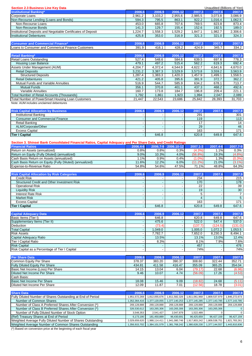| <b>Section 2.3 Business Line Key Data</b><br><b>Institutional Banking*</b>                                                 | 2006.6                                               | 2006.9                       | 2006.12                                              | 2007.3                      | Unaudited (Billions of Yen)<br>2007.6 | 2007.9                                                 |
|----------------------------------------------------------------------------------------------------------------------------|------------------------------------------------------|------------------------------|------------------------------------------------------|-----------------------------|---------------------------------------|--------------------------------------------------------|
| Corporate Loans                                                                                                            | 2,961.2                                              | 3,103.2                      | 2,955.6                                              | 2,985.5                     | 3,073.8                               | 3,086.9                                                |
| Non-Recourse Lending (Loans and Bonds)                                                                                     | 594.3                                                | 795.5                        | 863.1                                                | 922.2                       | 1.016.4                               | 1,062.5                                                |
| Non-Recourse Loans                                                                                                         | 453.0                                                | 665.8                        | 707.6                                                | 769.5                       | 823.8                                 | 873.4                                                  |
| Non-Recourse Bonds                                                                                                         | 141.3                                                | 129.7                        | 155.4                                                | 152.6                       | 192.5                                 | 189.0                                                  |
| Institutional Deposits and Negotiable Certificates of Deposit                                                              | 1,224.7                                              | 1,558.3                      | 1,529.2                                              | 1,847.1                     | 1,982.7                               | 2,306.6                                                |
| <b>Institutional Debentures</b>                                                                                            | 425.8                                                | 353.0                        | 316.9                                                | 321.3                       | 321.0                                 | 324.3                                                  |
| <b>Consumer and Commercial Finance*</b>                                                                                    | 2006.6                                               | 2006.9                       | 2006.12                                              | 2007.3                      | 2007.6                                | 2007.9                                                 |
| Loans to Consumer and Commerical Finance Customers                                                                         | 391.9                                                | 416.1                        | 428.2                                                | 424.9                       | 345.7                                 | 334.2                                                  |
| <b>Retail Banking*</b>                                                                                                     | 2006.6                                               | 2006.9                       | 2006.12                                              | 2007.3                      | 2007.6                                | 2007.9                                                 |
| Retail Loans Outstanding                                                                                                   | 527.4                                                | 548.6                        | 584.6                                                | 639.5                       | 697.6                                 | 778.3                                                  |
| <b>Housing Loan Balance</b>                                                                                                | 479.1                                                | 497.2                        | 515.4                                                | 562.2                       | 619.3                                 | 692.4                                                  |
| Assets Under Management (AUM)                                                                                              | 4,204.7                                              | 4,372.4                      | 4,544.9                                              | 4,622.7                     | 4,641.6                               | 4,670.0                                                |
| <b>Retail Deposits</b>                                                                                                     | 3,231.2                                              | 3,387.3                      | 3,529.9                                              | 3,573.8                     | 3,559.2                               | 3,563.9                                                |
| <b>Structured Deposits</b>                                                                                                 | 1,287.4                                              | 1,383.3                      | 1,420.3                                              | 1,457.9                     | 1,499.1                               | 1,558.5                                                |
| <b>Retail Debentures</b><br>Mutual Funds and Variable Annuities                                                            | 421.2<br>516.9                                       | 405.8<br>544.7               | 395.6<br>585.9                                       | 381.9<br>634.2              | 372.7<br>678.1                        | 362.2<br>713.7                                         |
| <b>Mutual Funds</b>                                                                                                        | 356.1                                                | 370.8                        | 401.1                                                | 437.3                       | 468.2                                 | 492.6                                                  |
| Variable Annuities                                                                                                         | 160.7                                                | 173.8                        | 184.7                                                | 196.8                       | 209.4                                 | 221.1                                                  |
| Total Number of Retail Accounts (Thousands)                                                                                | 1,792                                                | 1,861                        | 1,923                                                | 1,994                       | 2,047                                 | 2,089                                                  |
| <b>Total Number of PowerSmart Housing Loan Customers</b>                                                                   | 21.447                                               | 22,543                       | 23,686                                               | 25,842                      | 28,393                                | 31,703                                                 |
| Note: AUM includes unclaimed debentures                                                                                    |                                                      |                              |                                                      |                             |                                       |                                                        |
| <b>Risk Capital Allocation by Business</b>                                                                                 | 2006.6                                               | 2006.9                       | 2006.12                                              | 2007.3                      | 2007.6                                | 2007.9                                                 |
| <b>Institutional Banking</b>                                                                                               |                                                      |                              |                                                      | 291                         |                                       | 301                                                    |
| <b>Consumer and Commercial Finance</b>                                                                                     | ÷,                                                   | $\blacksquare$               | $\omega$                                             | 119                         | $\omega$                              | 113                                                    |
| <b>Retail Banking</b>                                                                                                      | $\overline{\phantom{a}}$                             |                              |                                                      | 17                          |                                       | 14                                                     |
| ALM/Corporate/Other<br><b>Excess Capital</b>                                                                               | ÷,<br>$\overline{\phantom{a}}$                       |                              | $\blacksquare$                                       | 29<br>163                   |                                       | 46<br>171                                              |
| <b>Tier I Capital</b>                                                                                                      |                                                      | 646.8                        |                                                      | 620.8                       | 649.8                                 | 647.6                                                  |
|                                                                                                                            |                                                      |                              |                                                      |                             |                                       |                                                        |
| Section 3. Shinsei Bank Consolidated Financial Ratios, Capital Adequacy and Per Share Data, and Credit Ratings             |                                                      |                              |                                                      |                             |                                       |                                                        |
| <b>Financial Ratios</b>                                                                                                    | 2006.4-6                                             |                              | 2006.7-9 2006.10-12                                  | $2007.1 - 3$                | 2007.4-6                              | 2007.7-9                                               |
| Return on Assets (annualized)<br>Return on Equity (Fully Diluted) (annualized)                                             | 0.8%<br>9.0%                                         | 0.8%<br>10.3%                | 0.3%<br>4.0%                                         | (4.3%)<br>$(56.8\%)$        | 1.1%<br>19.3%                         | 0.3%<br>$(4.8\%)$                                      |
| Cash Basis Return on Assets (annualized)                                                                                   | 1.1%                                                 | 0.9%                         | 0.4%                                                 | (1.0%                       | 1.3%                                  | (0.3%)                                                 |
| Cash Basis Return on Equity (Fully Diluted) (annualized)                                                                   | 11.6%                                                | 12.2%                        | 6.0%                                                 | (11.2%)                     | 21.0%                                 | $(3.1\%)$                                              |
| Expense-to-Revenue Ratio                                                                                                   | 54.8%                                                | 54.6%                        | 47.5%                                                | 71.1%                       | 48.8%                                 | 64.3%                                                  |
|                                                                                                                            |                                                      |                              |                                                      |                             |                                       |                                                        |
|                                                                                                                            |                                                      |                              |                                                      |                             |                                       |                                                        |
| <b>Risk Capital Allocation by Risk Categories</b>                                                                          | 2006.6                                               | 2006.9                       | 2006.12                                              | 2007.3                      | 2007.6                                | 2007.9                                                 |
| <b>Credit Risk</b>                                                                                                         | $\blacksquare$                                       | $\blacksquare$               | $\blacksquare$                                       | 234<br>170                  | $\blacksquare$                        | 215                                                    |
| Structured Credit and Other Investment Risk<br><b>Operational Risk</b>                                                     | $\overline{\phantom{a}}$                             | $\blacksquare$               |                                                      | 22                          |                                       | 178<br>39                                              |
| <b>Liquidity Risk</b>                                                                                                      |                                                      |                              | $\overline{\phantom{a}}$                             | 19                          |                                       | 30                                                     |
| <b>Interest Rate Risk</b>                                                                                                  | $\blacksquare$                                       | $\blacksquare$               | $\overline{\phantom{a}}$                             | 5                           | $\blacksquare$                        | $\overline{7}$                                         |
| <b>Market Risk</b>                                                                                                         | $\overline{\phantom{a}}$                             |                              | $\overline{\phantom{a}}$                             | 4                           |                                       |                                                        |
| <b>Excess Capital</b>                                                                                                      |                                                      |                              |                                                      | 163<br>620.8                |                                       | 171                                                    |
| <b>Tier I Capital</b>                                                                                                      |                                                      | 646.8                        |                                                      |                             | 649.8                                 | 5 <sup>5</sup><br>647.6                                |
| <b>Capital Adequacy Data</b>                                                                                               | 2006.6                                               | 2006.9                       | 2006.12                                              | 2007.3                      | 2007.6                                | 2007.9                                                 |
| Basic Items (Tier I)                                                                                                       | $\blacksquare$                                       | 646.8                        | $\blacksquare$                                       | 620.8                       | 649.8                                 | 647.6                                                  |
| Supplementary Items (Tier II)                                                                                              |                                                      | 475.6                        |                                                      | 522.0                       | 547.4                                 | 537.0                                                  |
| Deduction                                                                                                                  | $\overline{\phantom{a}}$<br>$\overline{\phantom{a}}$ | (73.4)                       | $\overline{\phantom{a}}$<br>$\overline{\phantom{a}}$ | (137.7)                     | (124.5)                               | 1,053.5                                                |
| <b>Total Capital</b><br><b>Risk Assets</b>                                                                                 | $\overline{\phantom{a}}$                             | 1,049.0<br>7,782.7           | $\overline{\phantom{a}}$                             | 1,005.0<br>7,652.0          | 1,072.2<br>8,230.3                    | 8,494.1                                                |
| Capital Adequacy Ratio                                                                                                     | $\overline{\phantom{a}}$                             | 13.5%                        | $\overline{\phantom{a}}$                             | 13.1%                       | 13.0%                                 |                                                        |
| Tier I Capital Ratio                                                                                                       | $\overline{\phantom{a}}$                             | 8.3%                         |                                                      | 8.1%                        | 7.9%                                  | (131.0)<br>12.4%<br>7.6%                               |
| <b>Risk Capital</b>                                                                                                        | $\overline{\phantom{a}}$<br>$\overline{\phantom{a}}$ |                              | $\sim$<br>$\overline{\phantom{a}}$                   | 457                         |                                       | 476                                                    |
| Risk Capital as a Percentage of Tier I Capital                                                                             |                                                      |                              |                                                      | 74%                         |                                       | 74%                                                    |
| <b>Per Share Data</b>                                                                                                      | 2006.6                                               | 2006.9                       | 2006.12                                              | 2007.3                      | 2007.6                                | 2007.9                                                 |
| Common Equity Per Share                                                                                                    | 378.37                                               | 383.20                       | 390.37                                               | 308.60                      | 322.44                                | 352.71                                                 |
| <b>Fully Diluted Equity Per Share</b>                                                                                      | 434.81                                               | 411.58                       | 416.47                                               | 355.09                      | 365.25                                | 354.04                                                 |
| Basic Net Income (Loss) Per Share                                                                                          | 14.15                                                | 13.04                        | 6.04                                                 | (79.17)                     | 22.68                                 |                                                        |
| Diluted Net Income Per Share<br>Cash Basis:                                                                                | 9.46                                                 | 10.07                        | 4.74                                                 | (56.09)                     | 17.26                                 | (6.96)<br>(4.53)                                       |
| Basic Net Income Per Share                                                                                                 | 18.08                                                | 15.46                        | 9.09                                                 | (18.82)                     | 24.68                                 | (5.11)                                                 |
| Diluted Net Income Per Share                                                                                               | 12.09                                                | 11.87                        | 7.01                                                 | (12.56)                     | 18.78                                 | (3.01)                                                 |
|                                                                                                                            |                                                      |                              |                                                      |                             |                                       |                                                        |
| <b>Share Data</b><br>Fully Diluted Number of Shares Outstanding at End of Period                                           | 2006.6<br>1,951,572,269                              | 2006.9<br>1,812,055,676      | 2006.12<br>1,811,582,326                             | 2007.3<br>1,811,061,968     | 2007.6<br>1,809,537,979               |                                                        |
| Number of Common Shares                                                                                                    | 1,352,364,416                                        | 1,377,120,055                | 1,377,140,253                                        | 1,377,145,285               | 1,377,143,785                         | 1,577,143,785                                          |
| Number of Class A Preferred Shares After Conversion (*)                                                                    | 269,128,888                                          | 269,128,888                  | 269,128,888                                          | 269,128,888                 | 269,128,888                           | 269,128,888                                            |
| Number of Class B Preferred Shares After Conversion (*)                                                                    | 326,530,612                                          | 163,265,306                  | 163,265,306                                          | 163,265,306                 | 163,265,306                           |                                                        |
| Number of Fully Diluted Number of Stock Option                                                                             | 3,548,353                                            | 2,541,427                    | 2,047,879                                            | 1,522,489                   | $\mathbf 0$                           | 2007.9<br>1,846,272,673<br>$\mathbf{0}$<br>$\mathbf 0$ |
| (Ref) Treasury Shares at End of Period<br>Weighted Average Fully Diluted Number of Shares Outstanding                      | 6,173,190<br>2,029,659,620                           | 181,450,889<br>1,988,114,411 | 96,430,691<br>1,941,080,746                          | 96,425,659<br>1,917,803,242 | 96,427,159<br>1,809,538,751           | 96,427,159<br>1,821,783,261                            |
| Weighted Average Number of Common Shares Outstanding<br>(*) Based on conversion price at the beginning of each fiscal year | 1,356,915,702                                        | 1,384,101,579                | 1,381,768,242                                        | 1,380,628,230               | 1,377,144,557                         | 1,443,810,836                                          |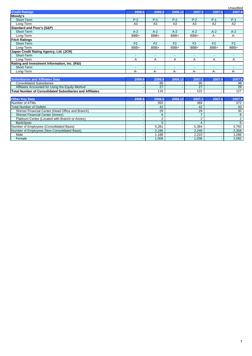|                                                                 |                          |                          |                          |                          |                | Unaudited                |
|-----------------------------------------------------------------|--------------------------|--------------------------|--------------------------|--------------------------|----------------|--------------------------|
| <b>Credit Ratings</b>                                           | 2006.6                   | 2006.9                   | 2006.12                  | 2007.3                   | 2007.6         | 2007.9                   |
| Moody's                                                         |                          |                          |                          |                          |                |                          |
| Short-Term                                                      | $P-2$                    | $P-2$                    | $P-2$                    | $P-2$                    | $P-1$          | $P-1$                    |
| Long-Term                                                       | A3                       | A <sub>3</sub>           | A3                       | A3                       | A2             | $\overline{A2}$          |
| <b>Standard and Poor's (S&amp;P)</b>                            |                          |                          |                          |                          |                |                          |
| Short-Term                                                      | $A-2$                    | $A-2$                    | $A-2$                    | $A-2$                    | $A-2$          | $A-2$                    |
| Long-Term                                                       | BBB+                     | BBB+                     | BBB+                     | $BBB+$                   | $A -$          | $A -$                    |
| <b>Fitch Ratings</b>                                            |                          |                          |                          |                          |                |                          |
| Short-Term                                                      | F <sub>2</sub>           | F <sub>2</sub>           | F <sub>2</sub>           | F <sub>2</sub>           | F <sub>2</sub> | F <sub>2</sub>           |
| Long-Term                                                       | BBB+                     | BBB+                     | BBB+                     | BBB+                     | BBB+           | BBB+                     |
| Japan Credit Rating Agency, Ltd. (JCR)                          |                          |                          |                          |                          |                |                          |
| Short-Term                                                      | $\blacksquare$           | $\blacksquare$           | $\overline{\phantom{a}}$ | $\overline{\phantom{a}}$ | $\blacksquare$ | $\overline{\phantom{a}}$ |
| Long-Term                                                       | A                        | A                        | A                        | A                        | A              | A                        |
| Rating and Investment Information, Inc. (R&I)                   |                          |                          |                          |                          |                |                          |
| Short-Term                                                      | $\blacksquare$           | $\overline{\phantom{a}}$ |                          |                          | ٠              |                          |
| Long-Term                                                       | $A -$                    | $A -$                    | $A -$                    | $A -$                    | A-             | $A -$                    |
|                                                                 |                          |                          |                          |                          |                |                          |
| <b>Subsidiaries and Affiliates Data</b>                         | 2006.6                   | 2006.9                   | 2006.12                  | 2007.3                   | 2007.6         | 2007.9                   |
| <b>Consolidated Subsidiaries</b>                                |                          | 89                       |                          | 95                       |                | 98                       |
| Affiliates Accounted for Using the Equity Method                |                          | 27                       |                          | 27                       |                | 29                       |
| <b>Total Number of Consolidated Subsidiaries and Affiliates</b> |                          | 116                      |                          | 122                      |                | 127                      |
|                                                                 |                          |                          |                          |                          |                |                          |
| <b>Other Key Data</b>                                           | 2006.6                   | 2006.9                   | 2006.12                  | 2007.3                   | 2007.6         | 2007.9                   |
| Number of ATMs                                                  |                          | 355                      |                          | 369                      |                | 372                      |
| <b>Total Number of Outlets</b>                                  |                          | 42                       |                          | 42                       |                | 43                       |
| Shinsei Financial Center (Head Office and Branch)               | $\overline{\phantom{a}}$ | 29                       |                          | 29                       |                | 30                       |
| Shinsei Financial Center (Annex)                                |                          | $6\phantom{1}$           |                          | $\overline{7}$           |                | 6                        |
| Platinum Center (Located with Branch or Annex)                  |                          | 2                        |                          | 2                        |                | $\overline{2}$           |
| <b>BankSpots</b>                                                |                          | 5                        |                          | $\overline{4}$           |                | $5\overline{)}$          |
| Number of Employees (Consolidated Basis)                        |                          | 5.281                    |                          | 5,364                    |                | 4.750                    |
| Number of Employees (Non-Consolidated Basis)                    |                          | 2,196                    |                          | 2,248                    |                | 2,358                    |
| Male                                                            |                          | 1,188                    |                          | 1,210                    |                | 1,266                    |
| Female                                                          | $\blacksquare$           | 1,008                    |                          | 1,038                    |                | 1,092                    |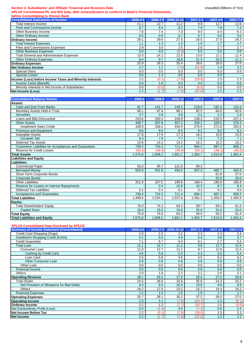#### Section 4. Subsidiaries' and Affiliate' Financial and Business Data **Exercise 2018** Unaudited (Billions of Yen)

**APLUS Consolidated P/L and B/S Data, after reclassification to conform to Bank's Financial Statements,**

| before Consolidating to Shinsei Bank                     |                  |          |            |          |          |                   |
|----------------------------------------------------------|------------------|----------|------------|----------|----------|-------------------|
| <b>Consolidated Statements of Income</b>                 | 2006.4-6         | 2006.7-9 | 2006.10-12 | 2007.1-3 | 2007.4-6 | 2007.7-9          |
| <b>Total Interest Income</b>                             | 11.1             | 12.7     | 11.2       | 9.8      | 12.7     | $\overline{12.6}$ |
| Fees and Commissions Income                              | 8.7              | 8.4      | 8.2        | 7.9      | 7.6      | 7.3               |
| <b>Other Business Income</b>                             | 7.6              | 7.4      | 7.3        | 8.0      | 6.4      | 6.3               |
| Other Ordinary Income                                    | 0.5              | 0.9      | 0.7        | 0.7      | 0.6      | 3.0               |
| <b>Ordinary Income</b>                                   | 28.1             | 29.6     | 27.5       | 26.5     | 27.5     | 29.3              |
| <b>Total Interest Expenses</b>                           | 1.1              | 1.3      | 1.5        | 1.5      | 1.7      | 1.7               |
| <b>Fees and Commissions Expenses</b>                     | 2.9              | 3.0      | 2.5        | 2.6      | 2.7      | 2.7               |
| <b>Other Business Expenses</b>                           | 0.0              | 0.0      | (0.0)      | 0.0      | 0.0      | 0.0               |
| <b>Total General and Administrative Expenses</b>         | 13.3             | 14.1     | 12.5       | 13.0     | 11.1     | 11.4              |
| <b>Other Ordinary Expenses</b>                           | 8.4              | 9.7      | 18.8       | 21.3     | 10.3     | 11.1              |
| <b>Ordinary Expenses</b>                                 | 25.9             | 28.3     | 35.4       | 38.6     | 26.0     | 27.0              |
| <b>Net Ordinary Income</b>                               | 2.2              | 1.2      | (7.8)      | (12.0)   | 1.4      | 2.2               |
| <b>Special Gains</b>                                     | 0.0              | 0.0      | 0.0        | 0.0      | 0.0      | 0.0               |
| <b>Special Losses</b>                                    | 0.0              | 1.4      | 0.0        | 5.9      | 0.0      |                   |
| Income (Loss) before Income Taxes and Minority Interests | $\overline{2.2}$ | (0.1)    | (7.8)      | (18.0)   | 1.5      | $\overline{2.3}$  |
| Income Taxes (Benefit)                                   | 0.0              | 1.6      | 0.0        | 4.0      | 0.0      | 0.0               |
| Minority Interests in Net Income of Subsidiaries         | 0.0              | (0.0)    | 0.0        | (0.0)    | 0.0      | 0.0               |
| <b>Net Income (Loss)</b>                                 | 2.2              | (1.7)    | (7.8)      | (22.0)   | 1.5      | $2.2^{\circ}$     |
|                                                          |                  |          |            |          |          |                   |
| <b>Consolidated Balance Sheets</b>                       | 2006.6           | 2006.9   | 2006.12    | 2007.3   | 2007.6   | 2007.9            |
| Assets:                                                  |                  |          |            |          |          |                   |
| Cash and Due From Banks                                  | 91.7             | 141.7    | 149.2      | 219.6    | 192.4    | 124.3             |
| Monetary Assets Held in Trust                            | 96.1             | 87.8     | 88.1       | 82.5     | 84.0     | 80.6              |
| <b>Securities</b>                                        | 3.7              | 3.8      | 3.8        | 2.2      | 2.2      | 1.8               |
| Loans and Bills Discounted                               | 243.6            | 250.4    | 249.9      | 238.3    | 233.5    | 227.2             |
| <b>Other Assets</b>                                      | 408.7            | 407.8    | 407.2      | 328.1    | 329.0    | 370.4             |
| <b>Installment Sales Credit</b>                          | 338.8            | 336.0    | 334.6      | 276.6    | 271.8    | 263.6             |
| Premises and Equipment                                   | 9.6              | 9.5      | 9.3        | 9.2      | 9.0      | 9.2               |
| Intangible Assets                                        | 17.8             | 17.9     | 17.3       | 16.2     | 15.9     | 15.8              |
| Goodwill, Net                                            | 8.3              | 7.9      | 7.7        | 7.5      | 7.3      | 7.1               |
| Deferred Tax Assets                                      | 15.8             | 14.2     | 14.2       | 10.2     | 10.2     | 10.2              |
| Customers' Liabilities for Acceptances and Guarantees    | 738.4            | 724.3    | 711.4      | 694.2    | 687.2    | 669.2             |
| Reserve for Credit Losses                                | (50.3)           | (49.4)   | (49.8)     | (50.1)   | (48.1)   | (46.5)            |
| <b>Total Assets</b>                                      | 1.575.6          | 1.608.2  | 1,601.1    | 1.550.7  | 1,515.8  | 1,462.4           |
| <b>Liabilities and Equity</b>                            |                  |          |            |          |          |                   |
| Liabilities:                                             |                  |          |            |          |          |                   |
| <b>Commercial Paper</b>                                  | 55.0             | 95.7     | 121.0      | 89.3     |          |                   |
| <b>Borrowed Money</b>                                    | 502.6            | 501.6    | 493.0      | 507.3    | 485.7    | 452.8             |
| Short-Term Corporate Bonds                               |                  |          |            |          | 61.8     | 57.0              |
| <b>Corporate Bonds</b>                                   |                  |          |            |          | 25.0     | 25.0              |
| <b>Other Liabilities</b>                                 | 201.9            | 207.5    | 199.8      | 188.4    | 185.9    | 185.8             |
| Reserve for Losses on Interest Repayments                |                  | 2.4      | 10.8       | 10.3     | 9.7      | 9.4               |
| <b>Deferred Tax Liabilities</b>                          | 0.1              | 0.1      | 0.1        | 0.1      | 0.1      | 0.0               |
| <b>Acceptances and Guarantees</b>                        | 738.4            | 724.3    | 711.4      | 694.2    | 687.2    | 669.2             |
| <b>Total Liabilities</b>                                 | 1,499.6          | 1,534.2  | 1,537.8    | 1,491.2  | 1,456.5  | 1,400.9           |
| Equity:                                                  |                  |          |            |          |          |                   |
| <b>Total Shareholders' Equity</b>                        | 76.0             | 74.2     | 63.3       | 59.7     | 59.2     | 61.5              |
| <b>Capital Stock</b>                                     | 15.0             | 15.0     | 15.0       | 25.0     | 15.0     | 15.0              |
| <b>Total Equity</b>                                      | 75.9             | 74.0     | 63.2       | 59.5     | 59.2     | 61.4              |
| <b>Total Liabilities and Equity</b>                      | 1,575.6          | 1,608.2  | 1,601.1    | 1,550.7  | 1,515.8  | 1,462.4           |

#### **APLUS Consolidated Data Disclosed by APLUS**

| <b>Summary of Income Statement (Consolidated)</b> | 2006.4-6 | 2006.7-9 | 2006.10-12       | 2007.1-3 | 2007.4-6 | 2007.7-9         |
|---------------------------------------------------|----------|----------|------------------|----------|----------|------------------|
| Credit Card Shopping (Sogo)                       | 2.0      | 2.2      | $2.2\phantom{0}$ | 2.3      | 2.3      | $2.4\,$          |
| Installment Shopping Credit (Kohin)               | 5.2      | 5.0      | 4.8              | 5.4      | 3.9      | 3.7              |
| <b>Credit Guarantee</b>                           | 7.1      | 6.7      | 6.4              | 6.1      | 5.7      | 5.4              |
| Total Loan                                        | 11.1     | 12.7     | 11.2             | 9.8      | 12.7     | 12.5             |
| Consumer Loan                                     | 11.0     | 12.7     | 11.1             | 9.7      | 12.6     | 12.5             |
| Cashing by Credit Card                            | 4.6      | 5.8      | 5.3              | 4.3      | 5.5      | 5.4              |
| Loan Card                                         | 5.5      | 5.9      | 4.8              | 4.5      | 6.2      | 6.2              |
| Other Consumer Loan                               | 0.8      | 0.8      | 0.8              | 0.8      | 0.8      | 0.8              |
| Other Loan                                        | 0.0      | 0.0      | 0.0              | 0.0      | 0.0      | 0.0              |
| <b>Financial Income</b>                           | 0.5      | 0.5      | 0.6              | 0.6      | 0.6      | 0.5              |
| <b>Others</b>                                     | 2.0      | 1.9      | 2.1              | 2.1      | 2.0      | 2.1              |
| <b>Operating Revenue</b>                          | 28.1     | 29.2     | 27.5             | 26.4     | 27.5     | 26.9             |
| <b>Total SG&amp;A</b>                             | 24.5     | 26.8     | 33.6             | 35.6     | 24.3     | 25.2             |
| Net Provision of Allowance for Bad Debts          | 8.3      | 9.2      | 10.4             | 19.8     | 9.8      | 9.9              |
| Others                                            | 16.2     | 17.5     | 23.2             | 15.7     | 14.4     | 15.2             |
| <b>Financial Expenses</b>                         | 1.2      | 1.3      | 1.5              | 1.5      | 1.7      | 1.7              |
| <b>Operating Expenses</b>                         | 25.7     | 28.1     | 35.2             | 37.2     | 26.0     | 27.0             |
| <b>Operating Income</b>                           | 2.3      | 1.1      | (7.6)            | (10.7)   | 1.4      | (0.1)            |
| <b>Ordinary Income</b>                            | 2.2      | 1.2      | (7.7)            | (10.7)   | 1.5      | (0.0)            |
| Net Extraordinary Profit (Loss)                   | 0.0      | (1.4)    | 0.0              | (7.2)    | 0.0      | 2.4              |
| Net Income Before Tax                             | 2.2      | (0.1)    | (7.8)            | (18.0)   | 1.5      | 2.3              |
| <b>Net Income</b>                                 | 2.2      | (1.7)    | (7.8)            | (22.0)   | 1.5      | $\overline{2.2}$ |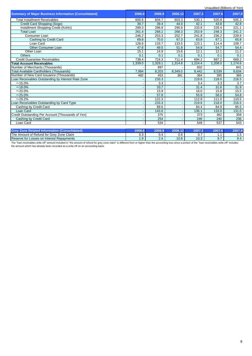|                                                             |         |         |         |         | Unaudited (Billions of Yen) |         |
|-------------------------------------------------------------|---------|---------|---------|---------|-----------------------------|---------|
| <b>Summary of Major Business Information (Consolidated)</b> | 2006.6  | 2006.9  | 2006.12 | 2007.3  | 2007.6                      | 2007.9  |
| <b>Total Installment Receivables</b>                        | 600.6   | 604.7   | 603.3   | 530.1   | 520.8                       | 505.3   |
| Credit Card Shopping (Sogo)                                 | 39.7    | 39.4    | 44.0    | 42.1    | 43.8                        | 42.8    |
| Installment Shopping Credit (Kohin)                         | 299.3   | 296.8   | 290.8   | 233.8   | 228.4                       | 221.1   |
| <b>Total Loan</b>                                           | 261.4   | 268.2   | 268.3   | 253.9   | 248.3                       | 241.2   |
| Consumer Loan                                               | 246.2   | 253.3   | 252.7   | 241.8   | 236.2                       | 229.9   |
| Cashing by Credit Card                                      | 69.8    | 70.0    | 67.3    | 63.8    | 67.1                        | 65.8    |
| Loan Card                                                   | 128.6   | 133.7   | 133.5   | 123.1   | 114.4                       | 109.7   |
| <b>Other Consumer Loan</b>                                  | 47.6    | 49.5    | 51.8    | 54.8    | 54.7                        | 54.4    |
| Other Loan                                                  | 15.1    | 14.9    | 15.6    | 12.1    | 12.1                        | 11.2    |
| <b>Others</b>                                               | 0.1     | 0.1     | 0.1     | 0.1     | 0.1                         | 0.1     |
| Credit Guarantee Receivables                                | 738.4   | 724.3   | 711.4   | 694.2   | 687.2                       | 669.2   |
| <b>Total Account Receivables</b>                            | 1.339.0 | 1.329.1 | 1,314.8 | 1.224.4 | 1.208.0                     | 1.174.6 |
| Number of Merchants (Thousands)                             |         | 897     |         | 832     |                             | 841     |
| Total Available Cardholders (Thousands)                     | 7,994   | 8,203   | 8,349.0 | 8,442   | 8,539                       | 8,634   |
| Number of New Card Issuance (Thousands)                     | 482     | 453     | 381     | 364     | 395                         | 366     |
| Loan Receivables Outstanding by Interest Rate Zone          |         | 233.3   |         | 219.6   | 218.0                       | 216.5   |
| $~15.0\%$                                                   |         | 3.3     |         | 3.4     | 3.3                         | 3.7     |
| $~18.0\%$                                                   |         | 33.7    |         | 31.4    | 31.6                        | 31.9    |
| $~20.0\%$                                                   |         | 15.9    |         | 16.0    | 15.8                        | 15.5    |
| $~25.0\%$                                                   |         | 57.8    |         | 55.8    | 56.0                        | 54.8    |
| $~29.2\%$                                                   |         | 122.3   |         | 112.8   | 111.0                       | 110.5   |
| Loan Receivables Outstanding by Card Type                   |         | 233.3   |         | 219.6   | 218.0                       | 216.5   |
| Cashing by Credit Card                                      |         | 89.6    |         | 84.4    | 84.9                        | 85.5    |
| Loan Card                                                   |         | 143.6   |         | 135.1   | 133.0                       | 131.0   |
| Credit Outstanding Per Account (Thousands of Yen)           |         | 375     |         | 373     | 362                         | 359     |
| Cashing by Credit Card                                      |         | 254     |         | 246     | 240                         | 236     |
| Loan Card                                                   |         | 534     |         | 549     | 537                         | 543     |
|                                                             |         |         |         |         |                             |         |

| $\sim$<br>Grev.<br>                                                    | 2006.                | n ni | ,,,,,                | 2007        | ONN7 A |          |
|------------------------------------------------------------------------|----------------------|------|----------------------|-------------|--------|----------|
| <b>The</b><br>Zone Claim<br>$\sim$<br>Grev<br>. Amount of Retund for C | $\sim$ $\sim$<br>∪.∪ | U.4  | $\sim$ $\sim$<br>U.6 | υ.          |        |          |
| Reserve for Losses on Interest Repayments                              | 1.9 <sup>2</sup>     |      | 10.8                 | د ۱<br>.U.J | ◡.     | $\alpha$ |

The "loan receivables write-off" amount included in "the amount of refund for grey zone claim" is different from or higher than the accounting loss since a portion of the "loan receivables write-off" includes<br>the amount wh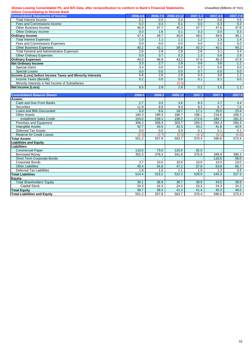#### Showa Leasing Consolidated P/L and B/S Data, after reclassification to conform to Bank's Financial Statements, **Unaudited (Billions of Yen) before Consolidating to Shinsei Bank**

| before Consolidating to Shinsel Bank                     |                  |                  |                  |                  |                  |                  |
|----------------------------------------------------------|------------------|------------------|------------------|------------------|------------------|------------------|
| <b>Consolidated Statements of Income</b>                 | 2006.4-6         | 2006.7-9         | 2006.10-12       | 2007.1-3         | 2007.4-6         | 2007.7-9         |
| <b>Total Interest Income</b>                             | 0.1              | $0.0\,$          | 0.4              | 0.4              | 0.8              | 0.6              |
| Fees and Commissions Income                              | 0.2              | 0.3              | 0.1              | 0.0              | $\overline{0.3}$ | 0.2              |
| Other Business Income                                    | 46.9             | 47.7             | 45.3             | 47.7             | 47.6             | 47.8             |
| Other Ordinary Income                                    | 0.0              | 1.6              | 0.1              | $\overline{0.3}$ | $\overline{0.0}$ | 0.3              |
| <b>Ordinary Income</b>                                   | 47.4             | 49.7             | 46.0             | 48.5             | 48.9             | 49.1             |
| <b>Total Interest Expenses</b>                           | 1.0              | 1.1              | 1.1              | 1.2              | 1.3              | 1.4              |
| Fees and Commissions Expenses                            | 0.0              | 0.0              | $\overline{0.0}$ | 0.0              | 0.0              | 0.0              |
| <b>Other Business Expenses</b>                           | 40.2             | 42.1             | 38.8             | 42.3             | 40.1             | 40.2             |
| <b>Total General and Administrative Expenses</b>         | 2.6              | $\overline{2.8}$ | $\overline{2.8}$ | $\overline{2.8}$ | $\overline{3.1}$ | $\overline{3.4}$ |
| <b>Other Ordinary Expenses</b>                           | 0.0              | 0.7              | $\overline{0.2}$ | 1.3              | 0.6              | $\overline{2.8}$ |
| <b>Ordinary Expenses</b>                                 | 44.0             | 46.9             | 43.2             | 47.8             | 45.3             | 47.9             |
| <b>Net Ordinary Income</b>                               | 3.3              | 2.7              | $\overline{2.8}$ | 0.6              | $\overline{3.6}$ | 1.1              |
| <b>Special Gains</b>                                     | $\overline{3.4}$ | 0.0              | $\overline{0.0}$ | 0.3              | $\overline{0.0}$ | 0.0              |
| <b>Special Losses</b>                                    | 0.0              | 0.0              | 0.0              | 0.7              | 0.0              | 0.0              |
| Income (Loss) before Income Taxes and Minority Interests | 6.8              | $\overline{2.8}$ | 2.8              | 0.3              | $\overline{3.6}$ | 1.2              |
| Income Taxes (Benefit)                                   | 0.2              | 0.0              | 0.0              | 0.1              | 0.1              | 0.0              |
| Minority Interests in Net Income of Subsidiaries         |                  |                  | (0.0)            |                  |                  |                  |
| Net Income (Loss)                                        | 6.5              | 2.8              | 2.8              | 0.2              | 3.5              | 1.1              |
|                                                          |                  |                  |                  |                  |                  |                  |
| <b>Consolidated Balance Sheets</b>                       | 2006.6           | 2006.9           | 2006.12          | 2007.3           | 2007.6           | 2007.9           |
| Assets:                                                  |                  |                  |                  |                  |                  |                  |
| Cash and Due From Banks                                  | 2.7              | 3.5              | 3.6              | 8.3              | 3.7              | 4.4              |
| Securities                                               | 11.9             | 8.9              | 9.0              | 8.2              | 8.7              | 7.6              |
| Loans and Bills Discounted                               | 5.3              | 6.5              | 18.7             | 17.1             | 25.0             | 23.4             |
| <b>Other Assets</b>                                      | 184.3            | 189.3            | 186.7            | 198.1            | 216.6            | 208.3            |
| <b>Installment Sales Credit</b>                          | 154.0            | 159.1            | 158.2            | 172.6            | 184.7            | 181.3            |
| Premises and Equipment                                   | 306.3            | 308.4            | 303.7            | 294.3            | 294.3            | 284.4            |
| <b>Intangible Assets</b>                                 | 42.7             | 43.5             | 42.3             | 43.2             | 41.8             | 42.5             |
| <b>Deferred Tax Assets</b>                               | 0.0              | 0.0              | 0.0              | 0.1              | 0.1              | 0.1              |
| <b>Reserve for Credit Losses</b>                         | (2.3)            | (2.7)            | (5.3)            | (4.1)            | (5.1)            | (4.8)            |
| <b>Total Assets</b>                                      | 551.2            | 557.8            | 563.7            | 570.4            | 590.6            | 573.4            |
| <b>Liabilities and Equity</b>                            |                  |                  |                  |                  |                  |                  |
| Liabilities:                                             |                  |                  |                  |                  |                  |                  |
| <b>Commercial Paper</b>                                  | 110.0            | 73.0             | 120.0            | 82.0             |                  |                  |
| <b>Borrowed Money</b>                                    | 352.3            | 378.3            | 341.8            | 375.9            | 348.9            | 390.3            |
| Short-Term Corporate Bonds                               |                  |                  |                  |                  | 119.5            | 58.0             |
| Corporate Bonds                                          | 2.7              | 10.0             | 10.0             | 10.0             | 10.0             | 10.0             |
| <b>Other Liabilities</b>                                 | 45.4             | 54.8             | 47.2             | 57.8             | 63.6             | 65.7             |
| <b>Deferred Tax Liabilities</b>                          | 1.8              | 1.0              | 1.1              | 1.0              | 1.2              | 0.9              |
| <b>Total Liabilities</b>                                 | 514.4            | 519.2            | 522.3            | 528.9            | 545.3            | 527.3            |
| Equity:                                                  |                  |                  |                  |                  |                  |                  |
| <b>Total Shareholders' Equity</b>                        | 34.1             | 36.9             | 39.7             | 39.9             | 43.5             | 39.9             |
| <b>Capital Stock</b>                                     | 24.3             | 24.3             | 24.3             | 24.3             | 24.3             | 24.3             |
| <b>Total Equity</b>                                      | 36.7             | 38.5             | 41.3             | 41.4             | 45.3             | 46.0             |
| <b>Total Liabilities and Equity</b>                      | 551.2            | 557.8            | 563.7            | 570.4            | 590.6            | 573.4            |
|                                                          |                  |                  |                  |                  |                  |                  |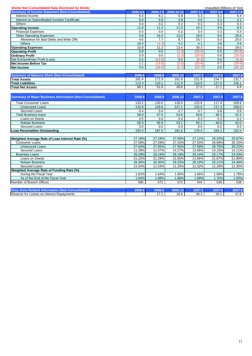| <b>Summary of Income Statement (Non-Consolidated)</b><br>2006.7-9<br>2006.10-12<br>$2007.1 - 3$<br>2006.4-6<br>2007.4-6<br>5.2<br>Interest Income<br>6.4<br>6.1<br>5.8<br>5.3<br>5.0<br>4.9<br>4.1<br>Interest on Subordinated Investor Certificate<br>4.8<br>4.6<br><b>Others</b><br>0.4<br>0.2<br>0.2<br>0.3<br>0.3<br>11.8<br>11.2<br>11.0<br>10.3<br>9.6<br><b>Operating Income</b><br><b>Financial Expenses</b><br>0.3<br>0.4<br>0.4<br>0.3<br>0.4<br>5.8<br>15.6<br>8.6<br><b>Other Operating Expenses</b><br>13.0<br>29.9<br>Allowance for Bad Debts and Write Offs<br>7.7<br>25.7<br>5.0<br>4.6<br>8.7<br>10.4<br>(1.3)<br>4.2<br>3.6<br><b>Others</b><br>4.1<br>30.3<br>9.0<br>10.9<br>11.3<br>13.4<br><b>Operating Expenses</b><br><b>Operating Profit</b><br>0.8<br>0.0<br>(2.3)<br>(20.0)<br>0.5<br>0.9<br>0.0<br>(2.3)<br>(20.0)<br>0.6<br><b>Ordinary Profit</b><br>Net Extraordinary Profit (Loss)<br>(13.5)<br>0.2<br>0.0<br>(0.3)<br>0.0<br><b>Net Income Before Tax</b><br>1.1<br>(13.5)<br>(2.3)<br>(20.4)<br>0.7<br>(22.7)<br>0.6<br>(16.0)<br>(1.7)<br>0.0<br><b>Net Income</b><br>2006.12<br>2007.3<br>2007.6<br><b>Summary of Balance Sheet (Non-Consolidated)</b><br>2006.6<br>2006.9<br>181.4<br>171.9<br>161.9<br>151.9<br>154.7<br><b>Total Assets</b><br>113.3<br>120.1<br>111.9<br>124.9<br>127.5<br><b>Total Liabilities</b><br>27.0<br>27.1<br>68.1<br>51.8<br>49.9<br><b>Total Net Assets</b><br><b>Summary of Major Business Information (Non-Consolidated)</b><br>2006.12<br>2007.3<br>2007.6<br>2006.6<br>2006.9<br>125.8<br><b>Total Consumer Loans</b><br>133.2<br>130.0<br>128.0<br>117.9<br>117.3<br><b>Unsecured Loans</b><br>132.8<br>129.6<br>127.2<br>125.0<br>0.7<br>Secured Loans<br>0.4<br>0.4<br>0.7<br>0.6<br><b>Total Business loans</b><br>59.8<br>57.5<br>53.6<br>50.6<br>46.3 |                |     |     |     |     |     | 2007.7-9         |
|-----------------------------------------------------------------------------------------------------------------------------------------------------------------------------------------------------------------------------------------------------------------------------------------------------------------------------------------------------------------------------------------------------------------------------------------------------------------------------------------------------------------------------------------------------------------------------------------------------------------------------------------------------------------------------------------------------------------------------------------------------------------------------------------------------------------------------------------------------------------------------------------------------------------------------------------------------------------------------------------------------------------------------------------------------------------------------------------------------------------------------------------------------------------------------------------------------------------------------------------------------------------------------------------------------------------------------------------------------------------------------------------------------------------------------------------------------------------------------------------------------------------------------------------------------------------------------------------------------------------------------------------------------------------------------------------------------------------------------------------------------------------------------------------------------------------------------------|----------------|-----|-----|-----|-----|-----|------------------|
|                                                                                                                                                                                                                                                                                                                                                                                                                                                                                                                                                                                                                                                                                                                                                                                                                                                                                                                                                                                                                                                                                                                                                                                                                                                                                                                                                                                                                                                                                                                                                                                                                                                                                                                                                                                                                                   |                |     |     |     |     |     |                  |
|                                                                                                                                                                                                                                                                                                                                                                                                                                                                                                                                                                                                                                                                                                                                                                                                                                                                                                                                                                                                                                                                                                                                                                                                                                                                                                                                                                                                                                                                                                                                                                                                                                                                                                                                                                                                                                   |                |     |     |     |     |     | 6.4              |
|                                                                                                                                                                                                                                                                                                                                                                                                                                                                                                                                                                                                                                                                                                                                                                                                                                                                                                                                                                                                                                                                                                                                                                                                                                                                                                                                                                                                                                                                                                                                                                                                                                                                                                                                                                                                                                   |                |     |     |     |     |     | 2.1              |
|                                                                                                                                                                                                                                                                                                                                                                                                                                                                                                                                                                                                                                                                                                                                                                                                                                                                                                                                                                                                                                                                                                                                                                                                                                                                                                                                                                                                                                                                                                                                                                                                                                                                                                                                                                                                                                   |                |     |     |     |     |     | 0.3              |
|                                                                                                                                                                                                                                                                                                                                                                                                                                                                                                                                                                                                                                                                                                                                                                                                                                                                                                                                                                                                                                                                                                                                                                                                                                                                                                                                                                                                                                                                                                                                                                                                                                                                                                                                                                                                                                   |                |     |     |     |     |     | 8.9              |
|                                                                                                                                                                                                                                                                                                                                                                                                                                                                                                                                                                                                                                                                                                                                                                                                                                                                                                                                                                                                                                                                                                                                                                                                                                                                                                                                                                                                                                                                                                                                                                                                                                                                                                                                                                                                                                   |                |     |     |     |     |     | 0.4              |
|                                                                                                                                                                                                                                                                                                                                                                                                                                                                                                                                                                                                                                                                                                                                                                                                                                                                                                                                                                                                                                                                                                                                                                                                                                                                                                                                                                                                                                                                                                                                                                                                                                                                                                                                                                                                                                   |                |     |     |     |     |     | 28.6             |
|                                                                                                                                                                                                                                                                                                                                                                                                                                                                                                                                                                                                                                                                                                                                                                                                                                                                                                                                                                                                                                                                                                                                                                                                                                                                                                                                                                                                                                                                                                                                                                                                                                                                                                                                                                                                                                   |                |     |     |     |     |     | 25.0             |
|                                                                                                                                                                                                                                                                                                                                                                                                                                                                                                                                                                                                                                                                                                                                                                                                                                                                                                                                                                                                                                                                                                                                                                                                                                                                                                                                                                                                                                                                                                                                                                                                                                                                                                                                                                                                                                   |                |     |     |     |     |     | $\overline{3.6}$ |
|                                                                                                                                                                                                                                                                                                                                                                                                                                                                                                                                                                                                                                                                                                                                                                                                                                                                                                                                                                                                                                                                                                                                                                                                                                                                                                                                                                                                                                                                                                                                                                                                                                                                                                                                                                                                                                   |                |     |     |     |     |     | 29.0             |
|                                                                                                                                                                                                                                                                                                                                                                                                                                                                                                                                                                                                                                                                                                                                                                                                                                                                                                                                                                                                                                                                                                                                                                                                                                                                                                                                                                                                                                                                                                                                                                                                                                                                                                                                                                                                                                   |                |     |     |     |     |     | (20.0)           |
|                                                                                                                                                                                                                                                                                                                                                                                                                                                                                                                                                                                                                                                                                                                                                                                                                                                                                                                                                                                                                                                                                                                                                                                                                                                                                                                                                                                                                                                                                                                                                                                                                                                                                                                                                                                                                                   |                |     |     |     |     |     | (20.0)           |
|                                                                                                                                                                                                                                                                                                                                                                                                                                                                                                                                                                                                                                                                                                                                                                                                                                                                                                                                                                                                                                                                                                                                                                                                                                                                                                                                                                                                                                                                                                                                                                                                                                                                                                                                                                                                                                   |                |     |     |     |     |     | (0.4)            |
|                                                                                                                                                                                                                                                                                                                                                                                                                                                                                                                                                                                                                                                                                                                                                                                                                                                                                                                                                                                                                                                                                                                                                                                                                                                                                                                                                                                                                                                                                                                                                                                                                                                                                                                                                                                                                                   |                |     |     |     |     |     | (20.6)           |
|                                                                                                                                                                                                                                                                                                                                                                                                                                                                                                                                                                                                                                                                                                                                                                                                                                                                                                                                                                                                                                                                                                                                                                                                                                                                                                                                                                                                                                                                                                                                                                                                                                                                                                                                                                                                                                   |                |     |     |     |     |     | (20.1)           |
|                                                                                                                                                                                                                                                                                                                                                                                                                                                                                                                                                                                                                                                                                                                                                                                                                                                                                                                                                                                                                                                                                                                                                                                                                                                                                                                                                                                                                                                                                                                                                                                                                                                                                                                                                                                                                                   |                |     |     |     |     |     | 2007.9           |
|                                                                                                                                                                                                                                                                                                                                                                                                                                                                                                                                                                                                                                                                                                                                                                                                                                                                                                                                                                                                                                                                                                                                                                                                                                                                                                                                                                                                                                                                                                                                                                                                                                                                                                                                                                                                                                   |                |     |     |     |     |     | 132.7            |
|                                                                                                                                                                                                                                                                                                                                                                                                                                                                                                                                                                                                                                                                                                                                                                                                                                                                                                                                                                                                                                                                                                                                                                                                                                                                                                                                                                                                                                                                                                                                                                                                                                                                                                                                                                                                                                   |                |     |     |     |     |     | 126.1            |
|                                                                                                                                                                                                                                                                                                                                                                                                                                                                                                                                                                                                                                                                                                                                                                                                                                                                                                                                                                                                                                                                                                                                                                                                                                                                                                                                                                                                                                                                                                                                                                                                                                                                                                                                                                                                                                   |                |     |     |     |     |     | 6.6              |
|                                                                                                                                                                                                                                                                                                                                                                                                                                                                                                                                                                                                                                                                                                                                                                                                                                                                                                                                                                                                                                                                                                                                                                                                                                                                                                                                                                                                                                                                                                                                                                                                                                                                                                                                                                                                                                   |                |     |     |     |     |     |                  |
|                                                                                                                                                                                                                                                                                                                                                                                                                                                                                                                                                                                                                                                                                                                                                                                                                                                                                                                                                                                                                                                                                                                                                                                                                                                                                                                                                                                                                                                                                                                                                                                                                                                                                                                                                                                                                                   |                |     |     |     |     |     | 2007.9           |
|                                                                                                                                                                                                                                                                                                                                                                                                                                                                                                                                                                                                                                                                                                                                                                                                                                                                                                                                                                                                                                                                                                                                                                                                                                                                                                                                                                                                                                                                                                                                                                                                                                                                                                                                                                                                                                   |                |     |     |     |     |     | 109.6            |
|                                                                                                                                                                                                                                                                                                                                                                                                                                                                                                                                                                                                                                                                                                                                                                                                                                                                                                                                                                                                                                                                                                                                                                                                                                                                                                                                                                                                                                                                                                                                                                                                                                                                                                                                                                                                                                   |                |     |     |     |     |     | 109.0            |
|                                                                                                                                                                                                                                                                                                                                                                                                                                                                                                                                                                                                                                                                                                                                                                                                                                                                                                                                                                                                                                                                                                                                                                                                                                                                                                                                                                                                                                                                                                                                                                                                                                                                                                                                                                                                                                   |                |     |     |     |     |     | 0.6              |
|                                                                                                                                                                                                                                                                                                                                                                                                                                                                                                                                                                                                                                                                                                                                                                                                                                                                                                                                                                                                                                                                                                                                                                                                                                                                                                                                                                                                                                                                                                                                                                                                                                                                                                                                                                                                                                   |                |     |     |     |     |     | 42.4             |
|                                                                                                                                                                                                                                                                                                                                                                                                                                                                                                                                                                                                                                                                                                                                                                                                                                                                                                                                                                                                                                                                                                                                                                                                                                                                                                                                                                                                                                                                                                                                                                                                                                                                                                                                                                                                                                   | Loans on Deeds | 0.5 | 0.4 | 0.4 | 0.3 | 0.3 | 0.2              |
| 53.1<br>50.1<br><b>Noloan Business</b><br>59.3<br>56.9<br>46.0                                                                                                                                                                                                                                                                                                                                                                                                                                                                                                                                                                                                                                                                                                                                                                                                                                                                                                                                                                                                                                                                                                                                                                                                                                                                                                                                                                                                                                                                                                                                                                                                                                                                                                                                                                    |                |     |     |     |     |     | 42.0             |
| 0.0<br>0.0<br>Secured Loans<br>0.0<br>0.0<br>0.0                                                                                                                                                                                                                                                                                                                                                                                                                                                                                                                                                                                                                                                                                                                                                                                                                                                                                                                                                                                                                                                                                                                                                                                                                                                                                                                                                                                                                                                                                                                                                                                                                                                                                                                                                                                  |                |     |     |     |     |     | 0.0              |
| 193.0<br>176.4<br><b>Loan Receivables Outstanding</b><br>187.5<br>181.6<br>164.2                                                                                                                                                                                                                                                                                                                                                                                                                                                                                                                                                                                                                                                                                                                                                                                                                                                                                                                                                                                                                                                                                                                                                                                                                                                                                                                                                                                                                                                                                                                                                                                                                                                                                                                                                  |                |     |     |     |     |     | 152.0            |
| Weighted Average Rate of Loan Interest Rate (%)<br>27.18%<br>27.18%<br>27.06%<br>27.11%<br>26.25%                                                                                                                                                                                                                                                                                                                                                                                                                                                                                                                                                                                                                                                                                                                                                                                                                                                                                                                                                                                                                                                                                                                                                                                                                                                                                                                                                                                                                                                                                                                                                                                                                                                                                                                                 |                |     |     |     |     |     | 25.67%           |
| Consumer Loans<br>27.58%<br>27.59%<br>27.42%<br>27.50%<br>26.68%                                                                                                                                                                                                                                                                                                                                                                                                                                                                                                                                                                                                                                                                                                                                                                                                                                                                                                                                                                                                                                                                                                                                                                                                                                                                                                                                                                                                                                                                                                                                                                                                                                                                                                                                                                  |                |     |     |     |     |     | 26.15%           |
| 27.65%<br>27.50%<br>27.58%<br>26.75%<br><b>Unsecured Loans</b><br>27.64%                                                                                                                                                                                                                                                                                                                                                                                                                                                                                                                                                                                                                                                                                                                                                                                                                                                                                                                                                                                                                                                                                                                                                                                                                                                                                                                                                                                                                                                                                                                                                                                                                                                                                                                                                          |                |     |     |     |     |     | 26.22%           |
| 14.27%<br>13.96%<br>14.15%<br>11.28%<br>11.07%<br>Secured Loans                                                                                                                                                                                                                                                                                                                                                                                                                                                                                                                                                                                                                                                                                                                                                                                                                                                                                                                                                                                                                                                                                                                                                                                                                                                                                                                                                                                                                                                                                                                                                                                                                                                                                                                                                                   |                |     |     |     |     |     | 14.11%           |
| 26.29%<br>26.24%<br>26.19%<br>26.14%<br>25.17%<br><b>Business Loans</b>                                                                                                                                                                                                                                                                                                                                                                                                                                                                                                                                                                                                                                                                                                                                                                                                                                                                                                                                                                                                                                                                                                                                                                                                                                                                                                                                                                                                                                                                                                                                                                                                                                                                                                                                                           |                |     |     |     |     |     | 24.43%           |
| 21.22%<br>21.29%<br>21.50%<br>21.66%<br>21.87%<br>Loans on Deeds                                                                                                                                                                                                                                                                                                                                                                                                                                                                                                                                                                                                                                                                                                                                                                                                                                                                                                                                                                                                                                                                                                                                                                                                                                                                                                                                                                                                                                                                                                                                                                                                                                                                                                                                                                  |                |     |     |     |     |     | 21.96%           |
| <b>Noloan Business</b><br>26.36%<br>26.30%<br>26.25%<br>26.19%<br>25.21%                                                                                                                                                                                                                                                                                                                                                                                                                                                                                                                                                                                                                                                                                                                                                                                                                                                                                                                                                                                                                                                                                                                                                                                                                                                                                                                                                                                                                                                                                                                                                                                                                                                                                                                                                          |                |     |     |     |     |     | 24.46%           |
| 11.32%<br>11.29%<br>Secured Loans<br>11.54%<br>11.54%<br>11.33%                                                                                                                                                                                                                                                                                                                                                                                                                                                                                                                                                                                                                                                                                                                                                                                                                                                                                                                                                                                                                                                                                                                                                                                                                                                                                                                                                                                                                                                                                                                                                                                                                                                                                                                                                                   |                |     |     |     |     |     | 11.30%           |
| Weighted Average Rate of Funding Rate (%)                                                                                                                                                                                                                                                                                                                                                                                                                                                                                                                                                                                                                                                                                                                                                                                                                                                                                                                                                                                                                                                                                                                                                                                                                                                                                                                                                                                                                                                                                                                                                                                                                                                                                                                                                                                         |                |     |     |     |     |     |                  |
| During the Fiscal Year<br>1.62%<br>1.64%<br>1.65%<br>1.66%<br>1.68%                                                                                                                                                                                                                                                                                                                                                                                                                                                                                                                                                                                                                                                                                                                                                                                                                                                                                                                                                                                                                                                                                                                                                                                                                                                                                                                                                                                                                                                                                                                                                                                                                                                                                                                                                               |                |     |     |     |     |     | 1.78%            |
| 1.70%<br>As of the End of the Fiscal Year<br>1.64%<br>1.68%<br>1.68%<br>1.69%                                                                                                                                                                                                                                                                                                                                                                                                                                                                                                                                                                                                                                                                                                                                                                                                                                                                                                                                                                                                                                                                                                                                                                                                                                                                                                                                                                                                                                                                                                                                                                                                                                                                                                                                                     |                |     |     |     |     |     | 1.93%            |
| Number of Branch Offices<br>580<br>572<br>572<br>544<br>539                                                                                                                                                                                                                                                                                                                                                                                                                                                                                                                                                                                                                                                                                                                                                                                                                                                                                                                                                                                                                                                                                                                                                                                                                                                                                                                                                                                                                                                                                                                                                                                                                                                                                                                                                                       |                |     |     |     |     |     | 538              |
|                                                                                                                                                                                                                                                                                                                                                                                                                                                                                                                                                                                                                                                                                                                                                                                                                                                                                                                                                                                                                                                                                                                                                                                                                                                                                                                                                                                                                                                                                                                                                                                                                                                                                                                                                                                                                                   |                |     |     |     |     |     |                  |
| <b>Grey Zone Related Information (Non-Consolidated)</b><br>2006.6<br>2006.9<br>2006.12<br>2007.3<br>2007.6                                                                                                                                                                                                                                                                                                                                                                                                                                                                                                                                                                                                                                                                                                                                                                                                                                                                                                                                                                                                                                                                                                                                                                                                                                                                                                                                                                                                                                                                                                                                                                                                                                                                                                                        |                |     |     |     |     |     | 2007.9           |
| 17.2<br>18.8<br>36.3<br>33.1<br>Reserve for Losses on Interest Repayments<br>$\overline{\phantom{a}}$                                                                                                                                                                                                                                                                                                                                                                                                                                                                                                                                                                                                                                                                                                                                                                                                                                                                                                                                                                                                                                                                                                                                                                                                                                                                                                                                                                                                                                                                                                                                                                                                                                                                                                                             |                |     |     |     |     |     | 37.8             |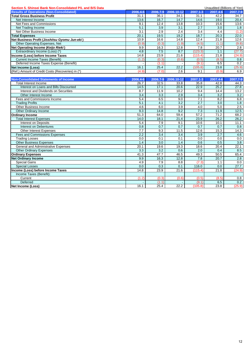| Section 5. Shinsei Bank Non-Consolidated P/L and B/S Data |          |          |            |              | Unaudited (Billions of Yen) |          |
|-----------------------------------------------------------|----------|----------|------------|--------------|-----------------------------|----------|
| <b>Results of Operations (Non-Consolidated)</b>           | 2006.4-6 | 2006.7-9 | 2006.10-12 | $2007.1 - 3$ | 2007.4-6                    | 2007.7-9 |
| <b>Total Gross Business Profit</b>                        | 31.1     | 36.1     | 34.1       | 31.1         | 42.2                        | 34.7     |
| Net Interest Income                                       | 13.6     | 16.7     | 14.7       | 14.6         | 19.0                        | 20.4     |
| Net Fees and Commissions                                  | 9.1      | 12.4     | 13.8       | 10.3         | 15.6                        | 13.6     |
| Net Trading Income                                        | 5.1      | 3.9      | 3.1        | 2.7          | 3.0                         | 1.8      |
| Net Other Business Income                                 | 3.1      | 2.9      | 2.4        | 3.4          | 4.4                         | (1.2)    |
| <b>Total Expenses</b>                                     | 20.1     | 19.5     | 19.2       | 18.7         | 20.3                        | 22.0     |
| Net Business Profit (Jisshitsu Gyomu Jun-eki)             | 10.9     | 16.6     | 14.8       | 12.4         | 21.8                        | 12.6     |
| Other Operating Expenses, Net                             | (0.9)    | (0.3)    | (1.9)      | (4.5)        | (1.1)                       | (9.8)    |
| Net Operating Income (Keijo Rieki)                        | 9.9      | 16.3     | 12.8       | 7.8          | 20.7                        | 2.8      |
| Extraordinary Income (Loss) (*)                           | 4.8      | 7.5      | 8.7        | (123.3)      | 1.1                         | (27.7)   |
| Income (Loss) before Income Taxes                         | 14.8     | 23.9     | 21.6       | (115.4)      | 21.8                        | (24.9)   |
| <b>Current Income Taxes (Benefit)</b>                     | (1.2)    | (0.3)    | (0.6)      | (0.5)        | (8.5)                       | 0.8      |
| Deferred Income Taxes Expense (Benefit)                   |          | (1.1)    |            | (9.1)        | 6.5                         | 0.2      |
| Net Income (Loss)                                         | 16.1     | 25.4     | 22.2       | (105.8)      | 23.8                        | (25.9)   |
| (Ref.) Amount of Credit Costs (Recoveries) in (*)         | (4.9)    | (7.0)    | 2.6        | 9.1          | (0.9)                       | 6.9      |
|                                                           |          |          |            |              |                             |          |
| <b>Non-Consolidated Statements of Income</b>              | 2006.4-6 | 2006.7-9 | 2006.10-12 | 2007.1-3     | 2007.4-6                    | 2007.7-9 |
| <b>Total Interest Income</b>                              | 26.7     | 32.5     | 33.8       | 35.8         | 42.8                        | 44.3     |
| Interest on Loans and Bills Discounted                    | 14.5     | 17.1     | 20.6       | 22.9         | 25.2                        | 27.8     |

11.9 10.2 9.4 14.4 13.2<br>
11.9 10.2 9.4 14.4 13.2<br>
11.9 10.2 9.4 14.4 13.2 Other Interest Income<br>
es and Commissions Income<br>
S.4 6.5 9.0 7.1 8.2 6.8

Trading Profits 4.1 | 3.2 | 2.7 | 3.0 | 1.8 Other Business Income<br>
Other Ordinary Income<br>
2.5 Other Ordinary Income<br>
2.5 Other Ordinary Income

**Ordinary Income 68.2**<br> **Total Interest Expenses 14.0 18.1 18.1 21.4 23.9 26.2 26.2 26.2 26.2** Total Interest Expenses<br>
Interest on Deposits<br>
Interest on Deposits<br>  $5.4$   $7.9$   $9.1$   $10.6$   $10.1$   $11.1$ Interest on Deposits 5.4 7.9 9.1 10.6 10.1 11.1

**Net Ordinary Income** 2.8 **16.3 16.3 16.3 16.3 16.3 12.8 16.3 12.8 12.8 12.8 20.7 2.8** Special Gains 7.9 | 8.8 | (7.3)| 1.1 | 0.0 Special Losses 0.0 | 0.3 | 0.1 | 116.0 | 0.0 | 27.7 **Income (Loss) before Income Taxes** 21.8 **14.8** 23.9 21.6 (115.4) 21.8 21.8 (24.9)

Current (1.2) (0.3) (0.6) (0.5) (8.5) 0.8 Deferred - (1.1) - (9.1) 6.5 0.2 **Net Income (Loss)** 23.8 25.4 25.4 25.4 25.4 22.2 (105.8) 23.8 23.8 23.9

**Interest on Debentures 0.8** 0.7 0.7 0.7 0.8 0.8 Other Interest Expenses<br>
es and Commissions Expenses<br>
2.2 3.4 3.4 3.9 2.7 4.6 Fees and Commissions Expenses 2.2 3.4 3.4 3.9 2.7 4.6 Trading Losses 0.0 | 0.1 | 0.1 | 0.0 | 0.0 | 0.0 Other Business Expenses<br>
General and Administrative Expenses<br>
20.1 19.6 19.3 18.6 20.4 22.1 General and Administrative Expenses 20.1 19.6 19.3 18.6 20.4 22.1 2:1 0.6 2.0 0.4 22.1 2:1 0.6 2.1 2:2.1 Other Ordinary Expenses 2.0 0.4 8.5<br> **Community Expenses** 2.0 0.4 8.5 49.3 50.5 65.4 41.3 47.7 46.5 49.3 50.5 65.4

Fees and Commissions Income **6.4 6.5 6.5** 9.0 **7.1** 8.2

**Ordinary Expenses** 41.3 47.7 46.5 49.3 50.5 49.4 41.3 47.7 46.5 49.3 50.5 49.3 50.5 49.3 50.5 49.3 50.5 49.3 50.5 65.4  $\frac{40.3}{20.7}$ 

Other Ordinary Income

Income Taxes (Benefit):<br>Current

| ×             |
|---------------|
| ۰.<br>i<br>۰. |
|               |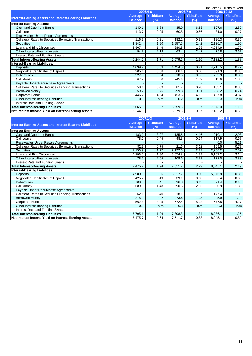|                                                                 |                |                   |                |                   |                | Unaudited (Billions of Yen) |
|-----------------------------------------------------------------|----------------|-------------------|----------------|-------------------|----------------|-----------------------------|
|                                                                 |                | 2006.4-6          |                | 2006.7-9          |                | 2006.10-12                  |
| <b>Interest-Earning Assets and Interest-Bearing Liabilities</b> | <b>Average</b> | <b>Yield/Rate</b> | Average        | <b>Yield/Rate</b> | <b>Average</b> | <b>Yield/Rate</b>           |
|                                                                 | <b>Balance</b> | (%)               | <b>Balance</b> | (%)               | <b>Balance</b> | (%)                         |
| <b>Interest-Earning Assets:</b>                                 |                |                   |                |                   |                |                             |
| Cash and Due from Banks                                         | 149.1          | 1.83              | 35.9           | 6.63              | 127.6          | 2.82                        |
| Call Loans                                                      | 113.7          | 0.05              | 60.8           | 0.56              | 31.0           | 0.27                        |
| Receivables Under Resale Agreements                             |                |                   |                |                   |                | $\sim$                      |
| <b>Collateral Rated to Securities Borrowing Transactions</b>    | 116.9          | 0.21              | 182.2          | 0.31              | 126.3          | 0.36                        |
| <b>Securities</b>                                               | 1,842.4        | 1.90              | .957.5         | 2.42              | 2,136.7        | 1.90                        |
| Loans and Bills Discounted                                      | 3,967.4        | 1.46              | 4,280.3        | 1.59              | 4,634.6        | 1.76                        |
| <b>Other Interest-Bearing Assets</b>                            | 54.3           | 2.18              | 62.4           | 2.42              | 75.8           | 2.67                        |
| Interest Rate and Funding Swaps                                 |                |                   |                |                   |                |                             |
| <b>Total Interest-Bearing Assets</b>                            | 6,244.0        | 1.71              | 6,579.5        | 1.96              | 7,132.2        | 1.88                        |
| <b>Interest-Bearing Liabilities:</b>                            |                |                   |                |                   |                |                             |
| <b>Deposits</b>                                                 | 4,099.7        | 0.53              | 4,454.5        | 0.71              | 4,715.5        | 0.77                        |
| Negotiable Certificates of Deposit                              | 205.1          | 0.08              | 306.4          | 0.30              | 391.3          | 0.38                        |
| <b>Debentures</b>                                               | 927.8          | 0.34              | 818.5          | 0.36              | 732.9          | 0.39                        |
| Call Monev                                                      | 67.9           | 0.80              | 245.4          | 1.39              | 613.6          | 1.36                        |
| Payable Under Repurchase Agreements                             |                |                   |                |                   |                |                             |
| Collateral Rated to Securities Lending Transactions             | 58.4           | 0.09              | 81.7           | 0.28              | 133.1          | 0.33                        |
| <b>Borrowed Money</b>                                           | 259.7          | 0.75              | 299.3          | 0.61              | 298.2          | 0.74                        |
| Corporate Bonds                                                 | 446.7          | 4.04              | 453.5          | 4.12              | 487.8          | 4.37                        |
| Other Interest-Bearing Liabilities                              | 0.3            | n.m.              | 0.2            | n.m.              | 0.3            | n.m.                        |
| Interest Rate and Funding Swaps                                 |                |                   |                |                   |                |                             |
| <b>Total Interest-Bearing Liabilities</b>                       | 6,065.9        | 0.92              | 6,659.8        | 1.07              | 7,373.0        | 1.15                        |
| Net Interest Income/Yield on Interest-Earning Assets            | 6,244.0        | 0.81              | 6,579.5        | 0.87              | 7,132.2        | 0.69                        |
|                                                                 |                |                   |                |                   |                |                             |

|                                                                 |                | 2007.1-3          |                | 2007.4-6          | 2007.7-9       |                   |
|-----------------------------------------------------------------|----------------|-------------------|----------------|-------------------|----------------|-------------------|
|                                                                 | <b>Average</b> | <b>Yield/Rate</b> | Average        | <b>Yield/Rate</b> | <b>Average</b> | <b>Yield/Rate</b> |
| <b>Interest-Earning Assets and Interest-Bearing Liabilities</b> | <b>Balance</b> | (%)               | <b>Balance</b> | (%)               | <b>Balance</b> | (%)               |
| <b>Interest-Earning Assets:</b>                                 |                |                   |                |                   |                |                   |
| Cash and Due from Banks                                         | 183.0          | 3.27              | 135.5          | 4.16              | 210.1          | 2.98              |
| Call Loans                                                      | 78.2           | 0.45              | 48.3           | 0.54              | 117.9          | 0.67              |
| Receivables Under Resale Agreements                             |                |                   |                |                   | 0.0            | 5.21              |
| Collateral Rated to Securities Borrowing Transactions           | 82.9           | 0.75              | 21.6           | 3.12              | 109.5          | 0.77              |
| <b>Securities</b>                                               | 2,156.9        | 1.77              | 2,122.6        | 2.72              | 2,268.2        | 2.32              |
| Loans and Bills Discounted                                      | 4,896.0        | 1.90              | 5,074.8        | 1.99              | 5,167.2        | 2.14              |
| Other Interest-Bearing Assets                                   | 78.5           | 2.65              | 108.6          | 3.31              | 172.0          | 2.83              |
| Interest Rate and Funding Swaps                                 |                |                   |                |                   |                |                   |
| <b>Total Interest-Bearing Assets</b>                            | 7,475.7        | 1.94              | 7,511.7        | 2.29              | 8,045.1        | 2.19              |
| <b>Interest-Bearing Liabilities:</b>                            |                |                   |                |                   |                |                   |
| <b>Deposits</b>                                                 | 4,980.6        | 0.86              | 5,017.2        | 0.80              | 5,076.8        | 0.86              |
| Negotiable Certificates of Deposit                              | 425.7          | 0.49              | 539.1          | 0.60              | 565.4          | 0.65              |
| <b>Debentures</b>                                               | 708.3          | 0.41              | 696.8          | 0.43              | 691.4          | 0.46              |
| Call Money                                                      | 689.5          | 1.48              | 690.5          | 2.35              | 900.9          | 1.88              |
| Payable Under Repurchase Agreements                             |                |                   |                |                   |                |                   |
| <b>Collateral Rated to Securities Lending Transactions</b>      | 62.1           | 0.40              | 18.1           | 1.87              | 177.4          | 1.03              |
| <b>Borrowed Money</b>                                           | 275.9          | 0.92              | 273.6          | 1.03              | 295.9          | 1.20              |
| Corporate Bonds                                                 | 562.3          | 4.45              | 572.4          | 5.02              | 577.5          | 4.27              |
| Other Interest-Bearing Liabilities                              | 0.3            | n.m.              | 0.3            | n.m.              | 0.3            | n.m.              |
| Interest Rate and Funding Swaps                                 |                |                   |                |                   |                |                   |
| <b>Total Interest-Bearing Liabilities</b>                       | 7,705.1        | 1.26              | 7,808.3        | 1.34              | 8,286.1        | 1.25              |
| Net Interest Income/Yield on Interest-Earning Assets            | 7,475.7        | 0.64              | 7,511.7        | 0.88              | 8,045.1        | 0.89              |